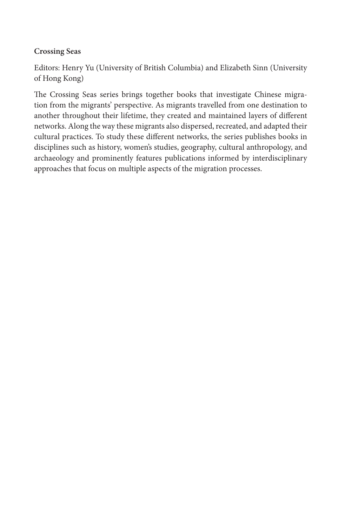#### **Crossing Seas**

Editors: Henry Yu (University of British Columbia) and Elizabeth Sinn (University of Hong Kong)

The Crossing Seas series brings together books that investigate Chinese migration from the migrants' perspective. As migrants travelled from one destination to another throughout their lifetime, they created and maintained layers of different networks. Along the way these migrants also dispersed, recreated, and adapted their cultural practices. To study these different networks, the series publishes books in disciplines such as history, women's studies, geography, cultural anthropology, and archaeology and prominently features publications informed by interdisciplinary approaches that focus on multiple aspects of the migration processes.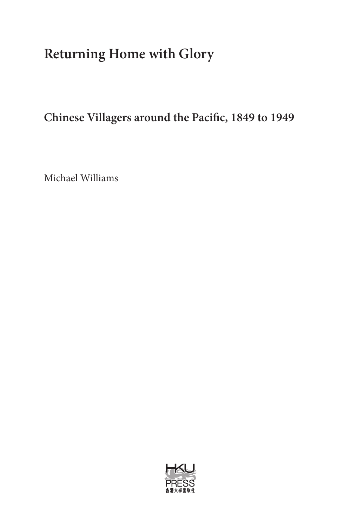# **Returning Home with Glory**

**Chinese Villagers around the Pacific, 1849 to 1949**

Michael Williams

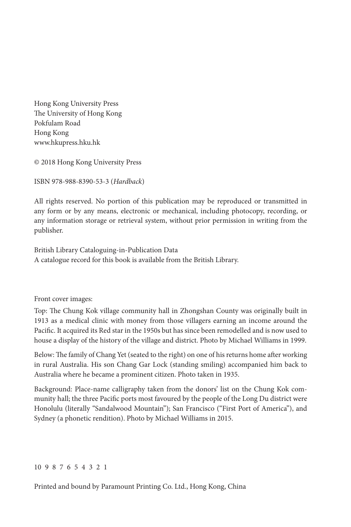Hong Kong University Press The University of Hong Kong Pokfulam Road Hong Kong www.hkupress.hku.hk

© 2018 Hong Kong University Press

ISBN 978-988-8390-53-3 (*Hardback*)

All rights reserved. No portion of this publication may be reproduced or transmitted in any form or by any means, electronic or mechanical, including photocopy, recording, or any information storage or retrieval system, without prior permission in writing from the publisher.

British Library Cataloguing-in-Publication Data A catalogue record for this book is available from the British Library.

Front cover images:

Top: The Chung Kok village community hall in Zhongshan County was originally built in 1913 as a medical clinic with money from those villagers earning an income around the Pacific. It acquired its Red star in the 1950s but has since been remodelled and is now used to house a display of the history of the village and district. Photo by Michael Williams in 1999.

Below: The family of Chang Yet (seated to the right) on one of his returns home after working in rural Australia. His son Chang Gar Lock (standing smiling) accompanied him back to Australia where he became a prominent citizen. Photo taken in 1935.

Background: Place-name calligraphy taken from the donors' list on the Chung Kok community hall; the three Pacific ports most favoured by the people of the Long Du district were Honolulu (literally "Sandalwood Mountain"); San Francisco ("First Port of America"), and Sydney (a phonetic rendition). Photo by Michael Williams in 2015.

#### 10 9 8 7 6 5 4 3 2 1

Printed and bound by Paramount Printing Co. Ltd., Hong Kong, China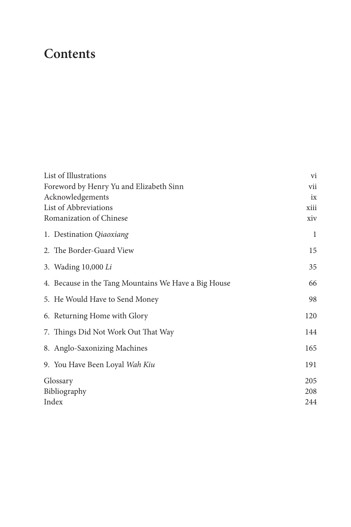### **Contents**

| List of Illustrations                                |     |
|------------------------------------------------------|-----|
| Foreword by Henry Yu and Elizabeth Sinn              |     |
| Acknowledgements                                     | ix  |
| List of Abbreviations                                |     |
| Romanization of Chinese                              | xiv |
| 1. Destination Qiaoxiang                             | 1   |
| 2. The Border-Guard View                             | 15  |
| 3. Wading 10,000 Li                                  | 35  |
| 4. Because in the Tang Mountains We Have a Big House | 66  |
| 5. He Would Have to Send Money                       | 98  |
| 6. Returning Home with Glory                         | 120 |
| 7. Things Did Not Work Out That Way                  | 144 |
| 8. Anglo-Saxonizing Machines                         | 165 |
| 9. You Have Been Loyal Wah Kiu                       | 191 |
| Glossary                                             | 205 |
| Bibliography                                         |     |
| Index                                                |     |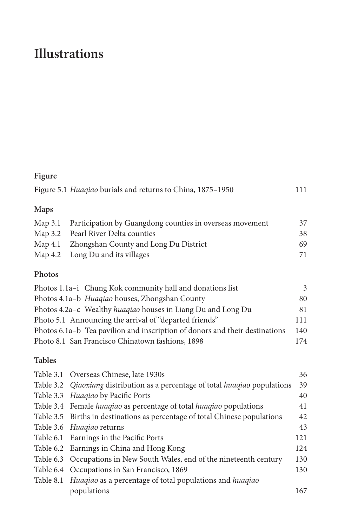# **Illustrations**

#### **Figure**

|             | Figure 5.1 Huagiao burials and returns to China, 1875–1950       | 111 |
|-------------|------------------------------------------------------------------|-----|
| <b>Maps</b> |                                                                  |     |
|             | Map 3.1 Participation by Guangdong counties in overseas movement | 37  |
|             | Map 2.2. Door Divor Dolta counties                               |     |

| Map 3.2 Pearl River Delta counties            | 38 |
|-----------------------------------------------|----|
| Map 4.1 Zhongshan County and Long Du District | 69 |
| Map 4.2 Long Du and its villages              | 71 |

#### **Photos**

| Photos 1.1a-i Chung Kok community hall and donations list                   | 3   |
|-----------------------------------------------------------------------------|-----|
| Photos 4.1a-b Huaqiao houses, Zhongshan County                              | 80  |
| Photos 4.2a-c Wealthy huagiao houses in Liang Du and Long Du                | 81  |
| Photo 5.1 Announcing the arrival of "departed friends"                      | 111 |
| Photos 6.1a–b Tea pavilion and inscription of donors and their destinations | 140 |
| Photo 8.1 San Francisco Chinatown fashions, 1898                            | 174 |

#### **Tables**

| Table 3.1 Overseas Chinese, late 1930s                                        | 36  |
|-------------------------------------------------------------------------------|-----|
| Table 3.2 Qiaoxiang distribution as a percentage of total huagiao populations | 39  |
| Table 3.3 Huagiao by Pacific Ports                                            | 40  |
| Table 3.4 Female huagiao as percentage of total huagiao populations           | 41  |
| Table 3.5 Births in destinations as percentage of total Chinese populations   | 42  |
| Table 3.6 <i>Huagiao</i> returns                                              | 43  |
| Table 6.1 Earnings in the Pacific Ports                                       | 121 |
| Table 6.2 Earnings in China and Hong Kong                                     | 124 |
| Table 6.3 Occupations in New South Wales, end of the nineteenth century       | 130 |
| Table 6.4 Occupations in San Francisco, 1869                                  | 130 |
| Table 8.1 Huaqiao as a percentage of total populations and huaqiao            |     |
| populations                                                                   | 167 |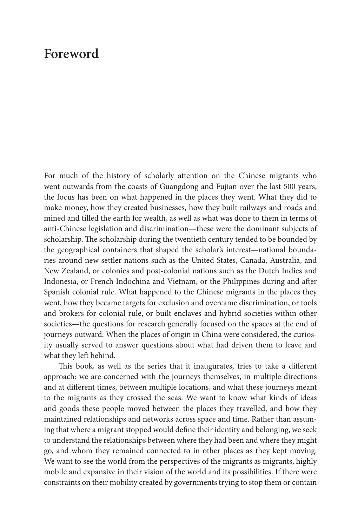### **Foreword**

For much of the history of scholarly attention on the Chinese migrants who went outwards from the coasts of Guangdong and Fujian over the last 500 years, the focus has been on what happened in the places they went. What they did to make money, how they created businesses, how they built railways and roads and mined and tilled the earth for wealth, as well as what was done to them in terms of anti-Chinese legislation and discrimination—these were the dominant subjects of scholarship. The scholarship during the twentieth century tended to be bounded by the geographical containers that shaped the scholar's interest—national boundaries around new settler nations such as the United States, Canada, Australia, and New Zealand, or colonies and post-colonial nations such as the Dutch Indies and Indonesia, or French Indochina and Vietnam, or the Philippines during and after Spanish colonial rule. What happened to the Chinese migrants in the places they went, how they became targets for exclusion and overcame discrimination, or tools and brokers for colonial rule, or built enclaves and hybrid societies within other societies—the questions for research generally focused on the spaces at the end of journeys outward. When the places of origin in China were considered, the curiosity usually served to answer questions about what had driven them to leave and what they left behind.

This book, as well as the series that it inaugurates, tries to take a different approach: we are concerned with the journeys themselves, in multiple directions and at different times, between multiple locations, and what these journeys meant to the migrants as they crossed the seas. We want to know what kinds of ideas and goods these people moved between the places they travelled, and how they maintained relationships and networks across space and time. Rather than assuming that where a migrant stopped would define their identity and belonging, we seek to understand the relationships between where they had been and where they might go, and whom they remained connected to in other places as they kept moving. We want to see the world from the perspectives of the migrants as migrants, highly mobile and expansive in their vision of the world and its possibilities. If there were constraints on their mobility created by governments trying to stop them or contain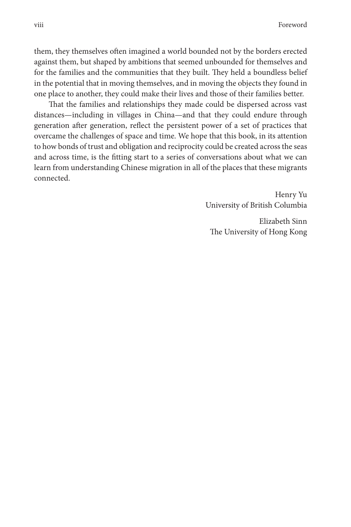them, they themselves often imagined a world bounded not by the borders erected against them, but shaped by ambitions that seemed unbounded for themselves and for the families and the communities that they built. They held a boundless belief in the potential that in moving themselves, and in moving the objects they found in one place to another, they could make their lives and those of their families better.

That the families and relationships they made could be dispersed across vast distances—including in villages in China—and that they could endure through generation after generation, reflect the persistent power of a set of practices that overcame the challenges of space and time. We hope that this book, in its attention to how bonds of trust and obligation and reciprocity could be created across the seas and across time, is the fitting start to a series of conversations about what we can learn from understanding Chinese migration in all of the places that these migrants connected.

> Henry Yu University of British Columbia

Elizabeth Sinn The University of Hong Kong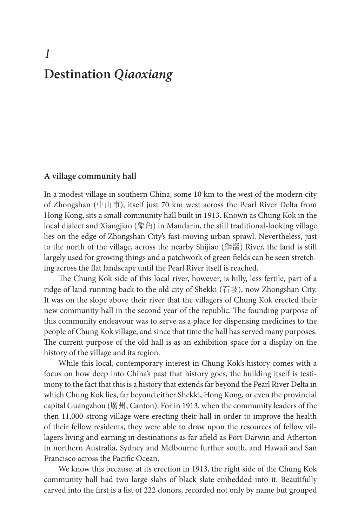## *1* **Destination** *Qiaoxiang*

#### **A village community hall**

In a modest village in southern China, some 10 km to the west of the modern city of Zhongshan (中山市), itself just 70 km west across the Pearl River Delta from Hong Kong, sits a small community hall built in 1913. Known as Chung Kok in the local dialect and Xiangjiao (象角) in Mandarin, the still traditional-looking village lies on the edge of Zhongshan City's fast-moving urban sprawl. Nevertheless, just to the north of the village, across the nearby Shijiao (獅滘) River, the land is still largely used for growing things and a patchwork of green fields can be seen stretching across the flat landscape until the Pearl River itself is reached.

The Chung Kok side of this local river, however, is hilly, less fertile, part of a ridge of land running back to the old city of Shekki (石岐), now Zhongshan City. It was on the slope above their river that the villagers of Chung Kok erected their new community hall in the second year of the republic. The founding purpose of this community endeavour was to serve as a place for dispensing medicines to the people of Chung Kok village, and since that time the hall has served many purposes. The current purpose of the old hall is as an exhibition space for a display on the history of the village and its region.

While this local, contemporary interest in Chung Kok's history comes with a focus on how deep into China's past that history goes, the building itself is testimony to the fact that this is a history that extends far beyond the Pearl River Delta in which Chung Kok lies, far beyond either Shekki, Hong Kong, or even the provincial capital Guangzhou (廣州, Canton). For in 1913, when the community leaders of the then 11,000-strong village were erecting their hall in order to improve the health of their fellow residents, they were able to draw upon the resources of fellow villagers living and earning in destinations as far afield as Port Darwin and Atherton in northern Australia, Sydney and Melbourne further south, and Hawaii and San Francisco across the Pacific Ocean.

We know this because, at its erection in 1913, the right side of the Chung Kok community hall had two large slabs of black slate embedded into it. Beautifully carved into the first is a list of 222 donors, recorded not only by name but grouped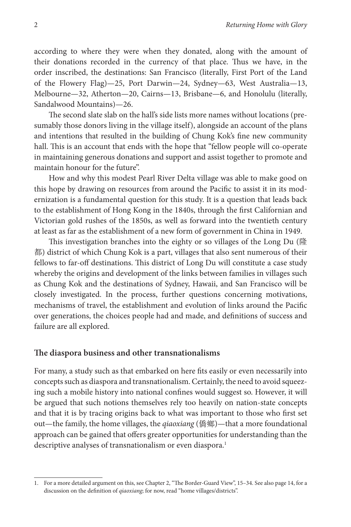according to where they were when they donated, along with the amount of their donations recorded in the currency of that place. Thus we have, in the order inscribed, the destinations: San Francisco (literally, First Port of the Land of the Flowery Flag)—25, Port Darwin—24, Sydney—63, West Australia—13, Melbourne—32, Atherton—20, Cairns—13, Brisbane—6, and Honolulu (literally, Sandalwood Mountains)—26.

The second slate slab on the hall's side lists more names without locations (presumably those donors living in the village itself), alongside an account of the plans and intentions that resulted in the building of Chung Kok's fine new community hall. This is an account that ends with the hope that "fellow people will co-operate in maintaining generous donations and support and assist together to promote and maintain honour for the future".

How and why this modest Pearl River Delta village was able to make good on this hope by drawing on resources from around the Pacific to assist it in its modernization is a fundamental question for this study. It is a question that leads back to the establishment of Hong Kong in the 1840s, through the first Californian and Victorian gold rushes of the 1850s, as well as forward into the twentieth century at least as far as the establishment of a new form of government in China in 1949.

This investigation branches into the eighty or so villages of the Long Du (隆 都) district of which Chung Kok is a part, villages that also sent numerous of their fellows to far-off destinations. This district of Long Du will constitute a case study whereby the origins and development of the links between families in villages such as Chung Kok and the destinations of Sydney, Hawaii, and San Francisco will be closely investigated. In the process, further questions concerning motivations, mechanisms of travel, the establishment and evolution of links around the Pacific over generations, the choices people had and made, and definitions of success and failure are all explored.

#### **The diaspora business and other transnationalisms**

For many, a study such as that embarked on here fits easily or even necessarily into concepts such as diaspora and transnationalism. Certainly, the need to avoid squeezing such a mobile history into national confines would suggest so. However, it will be argued that such notions themselves rely too heavily on nation-state concepts and that it is by tracing origins back to what was important to those who first set out—the family, the home villages, the *qiaoxiang* (僑鄉)—that a more foundational approach can be gained that offers greater opportunities for understanding than the descriptive analyses of transnationalism or even diaspora.<sup>1</sup>

<sup>1.</sup> For a more detailed argument on this, see Chapter 2, "The Border-Guard View", 15–34. See also page 14, for a discussion on the definition of *qiaoxiang*; for now, read "home villages/districts".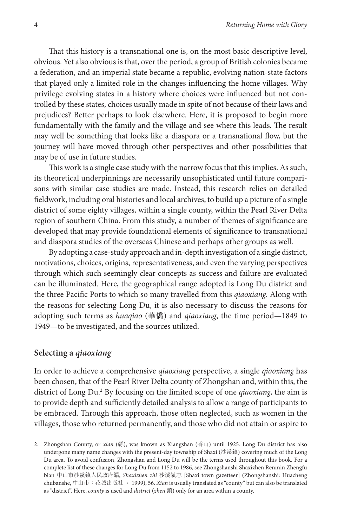That this history is a transnational one is, on the most basic descriptive level, obvious. Yet also obvious is that, over the period, a group of British colonies became a federation, and an imperial state became a republic, evolving nation-state factors that played only a limited role in the changes influencing the home villages. Why privilege evolving states in a history where choices were influenced but not controlled by these states, choices usually made in spite of not because of their laws and prejudices? Better perhaps to look elsewhere. Here, it is proposed to begin more fundamentally with the family and the village and see where this leads. The result may well be something that looks like a diaspora or a transnational flow, but the journey will have moved through other perspectives and other possibilities that may be of use in future studies.

This work is a single case study with the narrow focus that this implies. As such, its theoretical underpinnings are necessarily unsophisticated until future comparisons with similar case studies are made. Instead, this research relies on detailed fieldwork, including oral histories and local archives, to build up a picture of a single district of some eighty villages, within a single county, within the Pearl River Delta region of southern China. From this study, a number of themes of significance are developed that may provide foundational elements of significance to transnational and diaspora studies of the overseas Chinese and perhaps other groups as well.

By adopting a case-study approach and in-depth investigation of a single district, motivations, choices, origins, representativeness, and even the varying perspectives through which such seemingly clear concepts as success and failure are evaluated can be illuminated. Here, the geographical range adopted is Long Du district and the three Pacific Ports to which so many travelled from this *qiaoxiang*. Along with the reasons for selecting Long Du, it is also necessary to discuss the reasons for adopting such terms as *huaqiao* (華僑) and *qiaoxiang*, the time period—1849 to 1949—to be investigated, and the sources utilized.

#### **Selecting a** *qiaoxiang*

In order to achieve a comprehensive *qiaoxiang* perspective, a single *qiaoxiang* has been chosen, that of the Pearl River Delta county of Zhongshan and, within this, the district of Long Du.2 By focusing on the limited scope of one *qiaoxiang*, the aim is to provide depth and sufficiently detailed analysis to allow a range of participants to be embraced. Through this approach, those often neglected, such as women in the villages, those who returned permanently, and those who did not attain or aspire to

<sup>2.</sup> Zhongshan County, or *xian* (縣), was known as Xiangshan (香山) until 1925. Long Du district has also undergone many name changes with the present-day township of Shaxi (沙溪鎮) covering much of the Long Du area. To avoid confusion, Zhongshan and Long Du will be the terms used throughout this book. For a complete list of these changes for Long Du from 1152 to 1986, see Zhongshanshi Shaxizhen Renmin Zhengfu bian 中山市沙溪鎮人民政府編, *Shaxizhen zhi* 沙溪鎮志 [Shaxi town gazetteer] (Zhongshanshi: Huacheng chubanshe, 中山市: 花城出版社, 1999), 56. *Xian* is usually translated as "county" but can also be translated as "district". Here, *county* is used and *district* (*zhen* 鎮) only for an area within a county.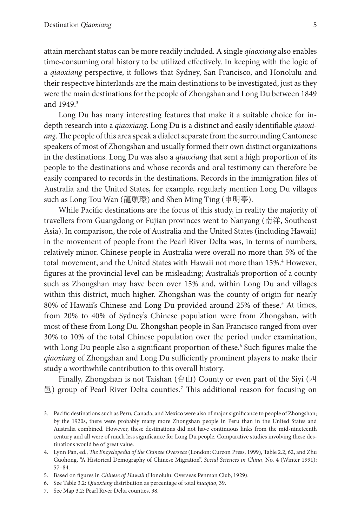attain merchant status can be more readily included. A single *qiaoxiang* also enables time-consuming oral history to be utilized effectively. In keeping with the logic of a *qiaoxiang* perspective, it follows that Sydney, San Francisco, and Honolulu and their respective hinterlands are the main destinations to be investigated, just as they were the main destinations for the people of Zhongshan and Long Du between 1849 and 1949.3

Long Du has many interesting features that make it a suitable choice for indepth research into a *qiaoxiang*. Long Du is a distinct and easily identifiable *qiaoxiang*. The people of this area speak a dialect separate from the surrounding Cantonese speakers of most of Zhongshan and usually formed their own distinct organizations in the destinations. Long Du was also a *qiaoxiang* that sent a high proportion of its people to the destinations and whose records and oral testimony can therefore be easily compared to records in the destinations. Records in the immigration files of Australia and the United States, for example, regularly mention Long Du villages such as Long Tou Wan (龍頭環) and Shen Ming Ting (申明亭).

While Pacific destinations are the focus of this study, in reality the majority of travellers from Guangdong or Fujian provinces went to Nanyang (南洋, Southeast Asia). In comparison, the role of Australia and the United States (including Hawaii) in the movement of people from the Pearl River Delta was, in terms of numbers, relatively minor. Chinese people in Australia were overall no more than 5% of the total movement, and the United States with Hawaii not more than 15%.<sup>4</sup> However, figures at the provincial level can be misleading; Australia's proportion of a county such as Zhongshan may have been over 15% and, within Long Du and villages within this district, much higher. Zhongshan was the county of origin for nearly 80% of Hawaii's Chinese and Long Du provided around 25% of these.<sup>5</sup> At times, from 20% to 40% of Sydney's Chinese population were from Zhongshan, with most of these from Long Du. Zhongshan people in San Francisco ranged from over 30% to 10% of the total Chinese population over the period under examination, with Long Du people also a significant proportion of these.<sup>6</sup> Such figures make the *qiaoxiang* of Zhongshan and Long Du sufficiently prominent players to make their study a worthwhile contribution to this overall history.

Finally, Zhongshan is not Taishan (台山) County or even part of the Siyi (四 邑) group of Pearl River Delta counties.7 This additional reason for focusing on

<sup>3.</sup> Pacific destinations such as Peru, Canada, and Mexico were also of major significance to people of Zhongshan; by the 1920s, there were probably many more Zhongshan people in Peru than in the United States and Australia combined. However, these destinations did not have continuous links from the mid-nineteenth century and all were of much less significance for Long Du people. Comparative studies involving these destinations would be of great value.

<sup>4.</sup> Lynn Pan, ed., *The Encyclopedia of the Chinese Overseas* (London: Curzon Press, 1999), Table 2.2, 62, and Zhu Guohong, "A Historical Demography of Chinese Migration", *Social Sciences in China*, No. 4 (Winter 1991): 57–84.

<sup>5.</sup> Based on figures in *Chinese of Hawaii* (Honolulu: Overseas Penman Club, 1929).

<sup>6.</sup> See Table 3.2: *Qiaoxiang* distribution as percentage of total *huaqiao*, 39.

<sup>7.</sup> See Map 3.2: Pearl River Delta counties, 38.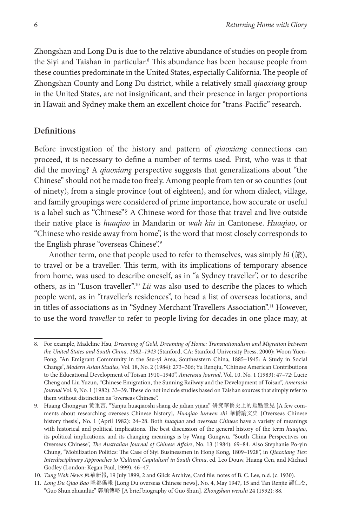Zhongshan and Long Du is due to the relative abundance of studies on people from the Siyi and Taishan in particular.8 This abundance has been because people from these counties predominate in the United States, especially California. The people of Zhongshan County and Long Du district, while a relatively small *qiaoxiang* group in the United States, are not insignificant, and their presence in larger proportions in Hawaii and Sydney make them an excellent choice for "trans-Pacific" research.

#### **Definitions**

Before investigation of the history and pattern of *qiaoxiang* connections can proceed, it is necessary to define a number of terms used. First, who was it that did the moving? A *qiaoxiang* perspective suggests that generalizations about "the Chinese" should not be made too freely. Among people from ten or so counties (out of ninety), from a single province (out of eighteen), and for whom dialect, village, and family groupings were considered of prime importance, how accurate or useful is a label such as "Chinese"? A Chinese word for those that travel and live outside their native place is *huaqiao* in Mandarin or *wah kiu* in Cantonese. *Huaqiao*, or "Chinese who reside away from home", is the word that most closely corresponds to the English phrase "overseas Chinese".<sup>9</sup>

Another term, one that people used to refer to themselves, was simply *lü* (旅), to travel or be a traveller. This term, with its implications of temporary absence from home, was used to describe oneself, as in "a Sydney traveller", or to describe others, as in "Luson traveller".10 *Lü* was also used to describe the places to which people went, as in "traveller's residences", to head a list of overseas locations, and in titles of associations as in "Sydney Merchant Travellers Association".11 However, to use the word *traveller* to refer to people living for decades in one place may, at

<sup>8.</sup> For example, Madeline Hsu, *Dreaming of Gold, Dreaming of Home: Transnationalism and Migration between the United States and South China, 1882–1943* (Stanford, CA: Stanford University Press, 2000); Woon Yuen-Fong, "An Emigrant Community in the Ssu-yi Area, Southeastern China, 1885–1945: A Study in Social Change", *Modern Asian Studies*, Vol. 18, No. 2 (1984): 273–306; Yu Renqiu, "Chinese American Contributions to the Educational Development of Toisan 1910–1940", *Amerasia Journal*, Vol. 10, No. 1 (1983): 47–72; Lucie Cheng and Liu Yuzun, "Chinese Emigration, the Sunning Railway and the Development of Toisan", *Amerasia Journal* Vol. 9, No. 1 (1982): 33–39. These do not include studies based on Taishan sources that simply refer to them without distinction as "overseas Chinese".

<sup>9.</sup> Huang Chongyan 黃重言, "Yanjiu huaqiaoshi shang de jidian yijian" 研究華僑史上的幾點意見 [A few comments about researching overseas Chinese history], *Huaqiao lunwen shi* 華僑論文史 [Overseas Chinese history thesis], No. 1 (April 1982): 24–28. Both *huaqiao* and *overseas Chinese* have a variety of meanings with historical and political implications. The best discussion of the general history of the term *huaqiao*, its political implications, and its changing meanings is by Wang Gungwu, "South China Perspectives on Overseas Chinese", *The Australian Journal of Chinese Affairs*, No. 13 (1984): 69–84. Also Stephanie Po-yin Chung, "Mobilization Politics: The Case of Siyi Businessmen in Hong Kong, 1809–1928", in *Qiaoxiang Ties: Interdisciplinary Approaches to 'Cultural Capitalism' in South China*, ed. Leo Douw, Huang Cen, and Michael Godley (London: Kegan Paul, 1999), 46–47.

<sup>10.</sup> *Tung Wah News* 東華新報, 19 July 1899, 2 and Glick Archive, Card file: notes of B. C. Lee, n.d. (c. 1930).

<sup>11.</sup> *Long Du Qiao Bao* 隆都僑報 [Long Du overseas Chinese news], No. 4, May 1947, 15 and Tan Renjie 譚仁杰, "Guo Shun zhuanlüe" 郭順傳略 [A brief biography of Guo Shun], *Zhongshan wenshi* 24 (1992): 88.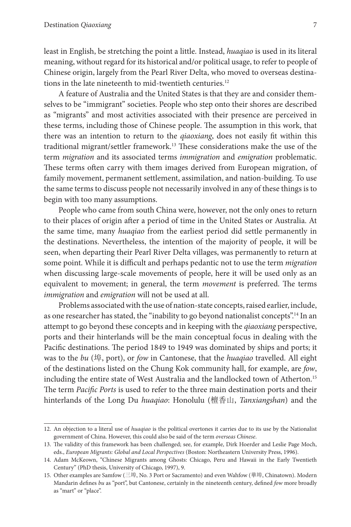least in English, be stretching the point a little. Instead, *huaqiao* is used in its literal meaning, without regard for its historical and/or political usage, to refer to people of Chinese origin, largely from the Pearl River Delta, who moved to overseas destinations in the late nineteenth to mid-twentieth centuries.<sup>12</sup>

A feature of Australia and the United States is that they are and consider themselves to be "immigrant" societies. People who step onto their shores are described as "migrants" and most activities associated with their presence are perceived in these terms, including those of Chinese people. The assumption in this work, that there was an intention to return to the *qiaoxiang*, does not easily fit within this traditional migrant/settler framework.13 These considerations make the use of the term *migration* and its associated terms *immigration* and *emigration* problematic. These terms often carry with them images derived from European migration, of family movement, permanent settlement, assimilation, and nation-building. To use the same terms to discuss people not necessarily involved in any of these things is to begin with too many assumptions.

People who came from south China were, however, not the only ones to return to their places of origin after a period of time in the United States or Australia. At the same time, many *huaqiao* from the earliest period did settle permanently in the destinations. Nevertheless, the intention of the majority of people, it will be seen, when departing their Pearl River Delta villages, was permanently to return at some point. While it is difficult and perhaps pedantic not to use the term *migration* when discussing large-scale movements of people, here it will be used only as an equivalent to movement; in general, the term *movement* is preferred. The terms *immigration* and *emigration* will not be used at all.

Problems associated with the use of nation-state concepts, raised earlier, include, as one researcher has stated, the "inability to go beyond nationalist concepts".<sup>14</sup> In an attempt to go beyond these concepts and in keeping with the *qiaoxiang* perspective, ports and their hinterlands will be the main conceptual focus in dealing with the Pacific destinations. The period 1849 to 1949 was dominated by ships and ports; it was to the *bu* (埠, port), or *fow* in Cantonese, that the *huaqiao* travelled. All eight of the destinations listed on the Chung Kok community hall, for example, are *fow*, including the entire state of West Australia and the landlocked town of Atherton.<sup>15</sup> The term *Pacific Ports* is used to refer to the three main destination ports and their hinterlands of the Long Du *huaqiao*: Honolulu (檀香山, *Tanxiangshan*) and the

<sup>12.</sup> An objection to a literal use of *huaqiao* is the political overtones it carries due to its use by the Nationalist government of China. However, this could also be said of the term *overseas Chinese*.

<sup>13.</sup> The validity of this framework has been challenged; see, for example, Dirk Hoerder and Leslie Page Moch, eds., *European Migrants: Global and Local Perspectives* (Boston: Northeastern University Press, 1996).

<sup>14.</sup> Adam McKeown, "Chinese Migrants among Ghosts: Chicago, Peru and Hawaii in the Early Twentieth Century" (PhD thesis, University of Chicago, 1997), 9.

<sup>15.</sup> Other examples are Samfow (三埠, No. 3 Port or Sacramento) and even Wahfow (華埠, Chinatown). Modern Mandarin defines *bu* as "port", but Cantonese, certainly in the nineteenth century, defined *fow* more broadly as "mart" or "place".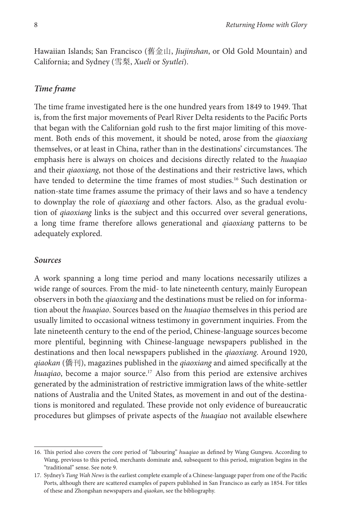Hawaiian Islands; San Francisco (舊金山, *Jiujinshan*, or Old Gold Mountain) and California; and Sydney (雪梨, *Xueli* or *Syutlei*).

#### *Time frame*

The time frame investigated here is the one hundred years from 1849 to 1949. That is, from the first major movements of Pearl River Delta residents to the Pacific Ports that began with the Californian gold rush to the first major limiting of this movement. Both ends of this movement, it should be noted, arose from the *qiaoxiang* themselves, or at least in China, rather than in the destinations' circumstances. The emphasis here is always on choices and decisions directly related to the *huaqiao* and their *qiaoxiang*, not those of the destinations and their restrictive laws, which have tended to determine the time frames of most studies.<sup>16</sup> Such destination or nation-state time frames assume the primacy of their laws and so have a tendency to downplay the role of *qiaoxiang* and other factors. Also, as the gradual evolution of *qiaoxiang* links is the subject and this occurred over several generations, a long time frame therefore allows generational and *qiaoxiang* patterns to be adequately explored.

#### *Sources*

A work spanning a long time period and many locations necessarily utilizes a wide range of sources. From the mid- to late nineteenth century, mainly European observers in both the *qiaoxiang* and the destinations must be relied on for information about the *huaqiao*. Sources based on the *huaqiao* themselves in this period are usually limited to occasional witness testimony in government inquiries. From the late nineteenth century to the end of the period, Chinese-language sources become more plentiful, beginning with Chinese-language newspapers published in the destinations and then local newspapers published in the *qiaoxiang*. Around 1920, *qiaokan* (僑刊), magazines published in the *qiaoxiang* and aimed specifically at the *huaqiao*, become a major source.17 Also from this period are extensive archives generated by the administration of restrictive immigration laws of the white-settler nations of Australia and the United States, as movement in and out of the destinations is monitored and regulated. These provide not only evidence of bureaucratic procedures but glimpses of private aspects of the *huaqiao* not available elsewhere

<sup>16.</sup> This period also covers the core period of "labouring" *huaqiao* as defined by Wang Gungwu. According to Wang, previous to this period, merchants dominate and, subsequent to this period, migration begins in the "traditional" sense. See note 9.

<sup>17.</sup> Sydney's *Tung Wah News* is the earliest complete example of a Chinese-language paper from one of the Pacific Ports, although there are scattered examples of papers published in San Francisco as early as 1854. For titles of these and Zhongshan newspapers and *qiaokan*, see the bibliography.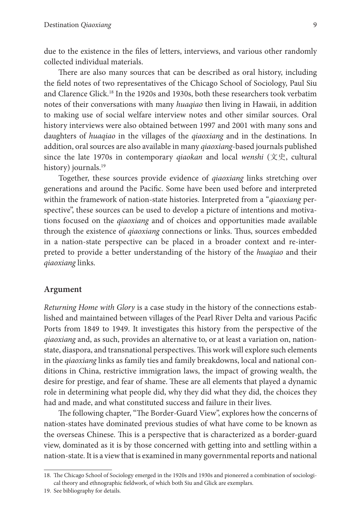due to the existence in the files of letters, interviews, and various other randomly collected individual materials.

There are also many sources that can be described as oral history, including the field notes of two representatives of the Chicago School of Sociology, Paul Siu and Clarence Glick.18 In the 1920s and 1930s, both these researchers took verbatim notes of their conversations with many *huaqiao* then living in Hawaii, in addition to making use of social welfare interview notes and other similar sources. Oral history interviews were also obtained between 1997 and 2001 with many sons and daughters of *huaqiao* in the villages of the *qiaoxiang* and in the destinations. In addition, oral sources are also available in many *qiaoxiang*-based journals published since the late 1970s in contemporary *qiaokan* and local *wenshi* (文史, cultural history) journals.<sup>19</sup>

Together, these sources provide evidence of *qiaoxiang* links stretching over generations and around the Pacific. Some have been used before and interpreted within the framework of nation-state histories. Interpreted from a "*qiaoxiang* perspective", these sources can be used to develop a picture of intentions and motivations focused on the *qiaoxiang* and of choices and opportunities made available through the existence of *qiaoxiang* connections or links. Thus, sources embedded in a nation-state perspective can be placed in a broader context and re-interpreted to provide a better understanding of the history of the *huaqiao* and their *qiaoxiang* links.

#### **Argument**

*Returning Home with Glory* is a case study in the history of the connections established and maintained between villages of the Pearl River Delta and various Pacific Ports from 1849 to 1949. It investigates this history from the perspective of the *qiaoxiang* and, as such, provides an alternative to, or at least a variation on, nationstate, diaspora, and transnational perspectives. This work will explore such elements in the *qiaoxiang* links as family ties and family breakdowns, local and national conditions in China, restrictive immigration laws, the impact of growing wealth, the desire for prestige, and fear of shame. These are all elements that played a dynamic role in determining what people did, why they did what they did, the choices they had and made, and what constituted success and failure in their lives.

The following chapter, "The Border-Guard View", explores how the concerns of nation-states have dominated previous studies of what have come to be known as the overseas Chinese. This is a perspective that is characterized as a border-guard view, dominated as it is by those concerned with getting into and settling within a nation-state. It is a view that is examined in many governmental reports and national

<sup>18.</sup> The Chicago School of Sociology emerged in the 1920s and 1930s and pioneered a combination of sociological theory and ethnographic fieldwork, of which both Siu and Glick are exemplars.

<sup>19.</sup> See bibliography for details.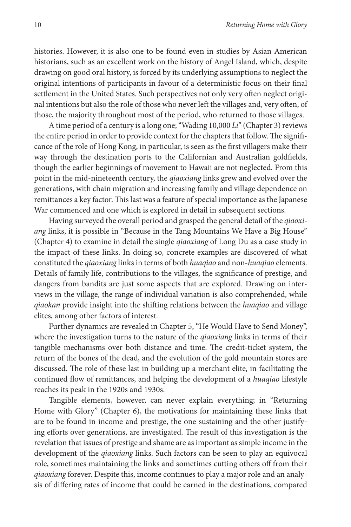histories. However, it is also one to be found even in studies by Asian American historians, such as an excellent work on the history of Angel Island, which, despite drawing on good oral history, is forced by its underlying assumptions to neglect the original intentions of participants in favour of a deterministic focus on their final settlement in the United States. Such perspectives not only very often neglect original intentions but also the role of those who never left the villages and, very often, of those, the majority throughout most of the period, who returned to those villages.

A time period of a century is a long one; "Wading 10,000 *Li*" (Chapter 3) reviews the entire period in order to provide context for the chapters that follow. The significance of the role of Hong Kong, in particular, is seen as the first villagers make their way through the destination ports to the Californian and Australian goldfields, though the earlier beginnings of movement to Hawaii are not neglected. From this point in the mid-nineteenth century, the *qiaoxiang* links grew and evolved over the generations, with chain migration and increasing family and village dependence on remittances a key factor. This last was a feature of special importance as the Japanese War commenced and one which is explored in detail in subsequent sections.

Having surveyed the overall period and grasped the general detail of the *qiaoxiang* links, it is possible in "Because in the Tang Mountains We Have a Big House" (Chapter 4) to examine in detail the single *qiaoxiang* of Long Du as a case study in the impact of these links. In doing so, concrete examples are discovered of what constituted the *qiaoxiang* links in terms of both *huaqiao* and non-*huaqiao* elements. Details of family life, contributions to the villages, the significance of prestige, and dangers from bandits are just some aspects that are explored. Drawing on interviews in the village, the range of individual variation is also comprehended, while *qiaokan* provide insight into the shifting relations between the *huaqiao* and village elites, among other factors of interest.

Further dynamics are revealed in Chapter 5, "He Would Have to Send Money", where the investigation turns to the nature of the *qiaoxiang* links in terms of their tangible mechanisms over both distance and time. The credit-ticket system, the return of the bones of the dead, and the evolution of the gold mountain stores are discussed. The role of these last in building up a merchant elite, in facilitating the continued flow of remittances, and helping the development of a *huaqiao* lifestyle reaches its peak in the 1920s and 1930s.

Tangible elements, however, can never explain everything; in "Returning Home with Glory" (Chapter 6), the motivations for maintaining these links that are to be found in income and prestige, the one sustaining and the other justifying efforts over generations, are investigated. The result of this investigation is the revelation that issues of prestige and shame are as important as simple income in the development of the *qiaoxiang* links. Such factors can be seen to play an equivocal role, sometimes maintaining the links and sometimes cutting others off from their *qiaoxiang* forever. Despite this, income continues to play a major role and an analysis of differing rates of income that could be earned in the destinations, compared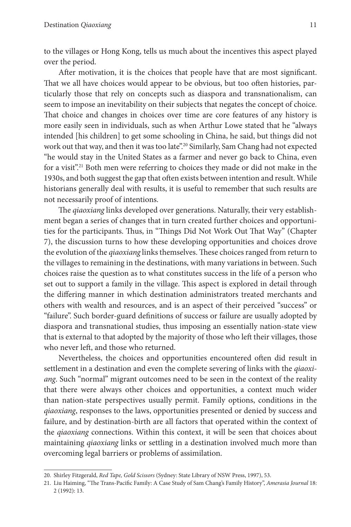to the villages or Hong Kong, tells us much about the incentives this aspect played over the period.

After motivation, it is the choices that people have that are most significant. That we all have choices would appear to be obvious, but too often histories, particularly those that rely on concepts such as diaspora and transnationalism, can seem to impose an inevitability on their subjects that negates the concept of choice. That choice and changes in choices over time are core features of any history is more easily seen in individuals, such as when Arthur Lowe stated that he "always intended [his children] to get some schooling in China, he said, but things did not work out that way, and then it was too late".<sup>20</sup> Similarly, Sam Chang had not expected "he would stay in the United States as a farmer and never go back to China, even for a visit".21 Both men were referring to choices they made or did not make in the 1930s, and both suggest the gap that often exists between intention and result. While historians generally deal with results, it is useful to remember that such results are not necessarily proof of intentions.

The *qiaoxiang* links developed over generations. Naturally, their very establishment began a series of changes that in turn created further choices and opportunities for the participants. Thus, in "Things Did Not Work Out That Way" (Chapter 7), the discussion turns to how these developing opportunities and choices drove the evolution of the *qiaoxiang* links themselves. These choices ranged from return to the villages to remaining in the destinations, with many variations in between. Such choices raise the question as to what constitutes success in the life of a person who set out to support a family in the village. This aspect is explored in detail through the differing manner in which destination administrators treated merchants and others with wealth and resources, and is an aspect of their perceived "success" or "failure". Such border-guard definitions of success or failure are usually adopted by diaspora and transnational studies, thus imposing an essentially nation-state view that is external to that adopted by the majority of those who left their villages, those who never left, and those who returned.

Nevertheless, the choices and opportunities encountered often did result in settlement in a destination and even the complete severing of links with the *qiaoxiang*. Such "normal" migrant outcomes need to be seen in the context of the reality that there were always other choices and opportunities, a context much wider than nation-state perspectives usually permit. Family options, conditions in the *qiaoxiang*, responses to the laws, opportunities presented or denied by success and failure, and by destination-birth are all factors that operated within the context of the *qiaoxiang* connections. Within this context, it will be seen that choices about maintaining *qiaoxiang* links or settling in a destination involved much more than overcoming legal barriers or problems of assimilation.

<sup>20.</sup> Shirley Fitzgerald, *Red Tape, Gold Scissors* (Sydney: State Library of NSW Press, 1997), 53.

<sup>21.</sup> Liu Haiming, "The Trans-Pacific Family: A Case Study of Sam Chang's Family History", *Amerasia Journal* 18: 2 (1992): 13.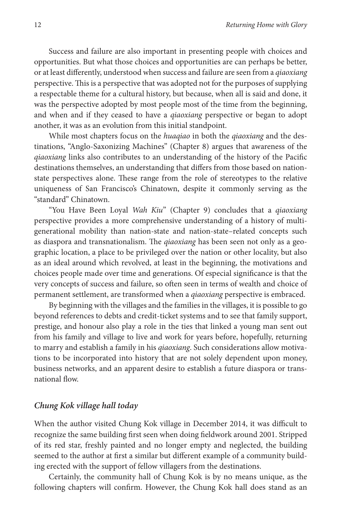Success and failure are also important in presenting people with choices and opportunities. But what those choices and opportunities are can perhaps be better, or at least differently, understood when success and failure are seen from a *qiaoxiang* perspective. This is a perspective that was adopted not for the purposes of supplying a respectable theme for a cultural history, but because, when all is said and done, it was the perspective adopted by most people most of the time from the beginning, and when and if they ceased to have a *qiaoxiang* perspective or began to adopt another, it was as an evolution from this initial standpoint.

While most chapters focus on the *huaqiao* in both the *qiaoxiang* and the destinations, "Anglo-Saxonizing Machines" (Chapter 8) argues that awareness of the *qiaoxiang* links also contributes to an understanding of the history of the Pacific destinations themselves, an understanding that differs from those based on nationstate perspectives alone. These range from the role of stereotypes to the relative uniqueness of San Francisco's Chinatown, despite it commonly serving as the "standard" Chinatown.

"You Have Been Loyal *Wah Kiu*" (Chapter 9) concludes that a *qiaoxiang* perspective provides a more comprehensive understanding of a history of multigenerational mobility than nation-state and nation-state–related concepts such as diaspora and transnationalism. The *qiaoxiang* has been seen not only as a geographic location, a place to be privileged over the nation or other locality, but also as an ideal around which revolved, at least in the beginning, the motivations and choices people made over time and generations. Of especial significance is that the very concepts of success and failure, so often seen in terms of wealth and choice of permanent settlement, are transformed when a *qiaoxiang* perspective is embraced.

By beginning with the villages and the families in the villages, it is possible to go beyond references to debts and credit-ticket systems and to see that family support, prestige, and honour also play a role in the ties that linked a young man sent out from his family and village to live and work for years before, hopefully, returning to marry and establish a family in his *qiaoxiang*. Such considerations allow motivations to be incorporated into history that are not solely dependent upon money, business networks, and an apparent desire to establish a future diaspora or transnational flow.

#### *Chung Kok village hall today*

When the author visited Chung Kok village in December 2014, it was difficult to recognize the same building first seen when doing fieldwork around 2001. Stripped of its red star, freshly painted and no longer empty and neglected, the building seemed to the author at first a similar but different example of a community building erected with the support of fellow villagers from the destinations.

Certainly, the community hall of Chung Kok is by no means unique, as the following chapters will confirm. However, the Chung Kok hall does stand as an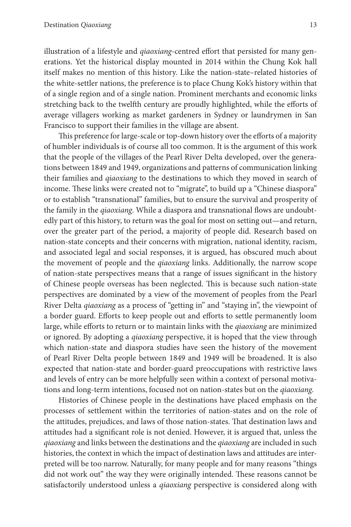illustration of a lifestyle and *qiaoxiang*-centred effort that persisted for many generations. Yet the historical display mounted in 2014 within the Chung Kok hall itself makes no mention of this history. Like the nation-state–related histories of the white-settler nations, the preference is to place Chung Kok's history within that of a single region and of a single nation. Prominent merchants and economic links stretching back to the twelfth century are proudly highlighted, while the efforts of average villagers working as market gardeners in Sydney or laundrymen in San Francisco to support their families in the village are absent.

This preference for large-scale or top-down history over the efforts of a majority of humbler individuals is of course all too common. It is the argument of this work that the people of the villages of the Pearl River Delta developed, over the generations between 1849 and 1949, organizations and patterns of communication linking their families and *qiaoxiang* to the destinations to which they moved in search of income. These links were created not to "migrate", to build up a "Chinese diaspora" or to establish "transnational" families, but to ensure the survival and prosperity of the family in the *qiaoxiang*. While a diaspora and transnational flows are undoubtedly part of this history, to return was the goal for most on setting out—and return, over the greater part of the period, a majority of people did. Research based on nation-state concepts and their concerns with migration, national identity, racism, and associated legal and social responses, it is argued, has obscured much about the movement of people and the *qiaoxiang* links. Additionally, the narrow scope of nation-state perspectives means that a range of issues significant in the history of Chinese people overseas has been neglected. This is because such nation-state perspectives are dominated by a view of the movement of peoples from the Pearl River Delta *qiaoxiang* as a process of "getting in" and "staying in", the viewpoint of a border guard. Efforts to keep people out and efforts to settle permanently loom large, while efforts to return or to maintain links with the *qiaoxiang* are minimized or ignored. By adopting a *qiaoxiang* perspective, it is hoped that the view through which nation-state and diaspora studies have seen the history of the movement of Pearl River Delta people between 1849 and 1949 will be broadened. It is also expected that nation-state and border-guard preoccupations with restrictive laws and levels of entry can be more helpfully seen within a context of personal motivations and long-term intentions, focused not on nation-states but on the *qiaoxiang*.

Histories of Chinese people in the destinations have placed emphasis on the processes of settlement within the territories of nation-states and on the role of the attitudes, prejudices, and laws of those nation-states. That destination laws and attitudes had a significant role is not denied. However, it is argued that, unless the *qiaoxiang* and links between the destinations and the *qiaoxiang* are included in such histories, the context in which the impact of destination laws and attitudes are interpreted will be too narrow. Naturally, for many people and for many reasons "things did not work out" the way they were originally intended. These reasons cannot be satisfactorily understood unless a *qiaoxiang* perspective is considered along with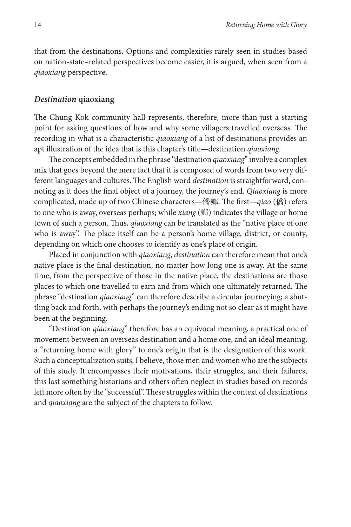that from the destinations. Options and complexities rarely seen in studies based on nation-state–related perspectives become easier, it is argued, when seen from a *qiaoxiang* perspective.

#### *Destination* **qiaoxiang**

The Chung Kok community hall represents, therefore, more than just a starting point for asking questions of how and why some villagers travelled overseas. The recording in what is a characteristic *qiaoxiang* of a list of destinations provides an apt illustration of the idea that is this chapter's title—destination *qiaoxiang*.

The concepts embedded in the phrase "destination *qiaoxiang*" involve a complex mix that goes beyond the mere fact that it is composed of words from two very different languages and cultures. The English word *destination* is straightforward, connoting as it does the final object of a journey, the journey's end. *Qiaoxiang* is more complicated, made up of two Chinese characters—僑鄉. The first—*qiao* (僑) refers to one who is away, overseas perhaps; while *xiang* (鄉) indicates the village or home town of such a person. Thus, *qiaoxiang* can be translated as the "native place of one who is away". The place itself can be a person's home village, district, or county, depending on which one chooses to identify as one's place of origin.

Placed in conjunction with *qiaoxiang*, *destination* can therefore mean that one's native place is the final destination, no matter how long one is away. At the same time, from the perspective of those in the native place, the destinations are those places to which one travelled to earn and from which one ultimately returned. The phrase "destination *qiaoxiang*" can therefore describe a circular journeying; a shuttling back and forth, with perhaps the journey's ending not so clear as it might have been at the beginning.

"Destination *qiaoxiang*" therefore has an equivocal meaning, a practical one of movement between an overseas destination and a home one, and an ideal meaning, a "returning home with glory" to one's origin that is the designation of this work. Such a conceptualization suits, I believe, those men and women who are the subjects of this study. It encompasses their motivations, their struggles, and their failures, this last something historians and others often neglect in studies based on records left more often by the "successful". These struggles within the context of destinations and *qiaoxiang* are the subject of the chapters to follow.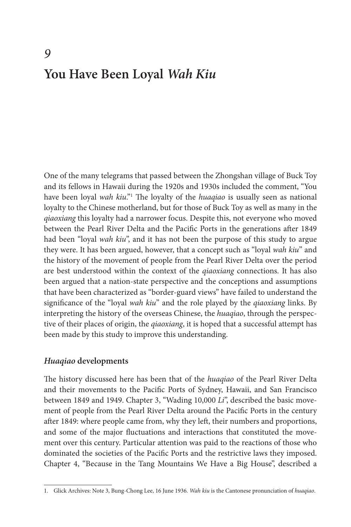# **You Have Been Loyal** *Wah Kiu*

One of the many telegrams that passed between the Zhongshan village of Buck Toy and its fellows in Hawaii during the 1920s and 1930s included the comment, "You have been loyal *wah kiu*."<sup>1</sup> The loyalty of the *huaqiao* is usually seen as national loyalty to the Chinese motherland, but for those of Buck Toy as well as many in the *qiaoxiang* this loyalty had a narrower focus. Despite this, not everyone who moved between the Pearl River Delta and the Pacific Ports in the generations after 1849 had been "loyal *wah kiu*", and it has not been the purpose of this study to argue they were. It has been argued, however, that a concept such as "loyal *wah kiu*" and the history of the movement of people from the Pearl River Delta over the period are best understood within the context of the *qiaoxiang* connections. It has also been argued that a nation-state perspective and the conceptions and assumptions that have been characterized as "border-guard views" have failed to understand the significance of the "loyal *wah kiu*" and the role played by the *qiaoxiang* links. By interpreting the history of the overseas Chinese, the *huaqiao*, through the perspective of their places of origin, the *qiaoxiang*, it is hoped that a successful attempt has been made by this study to improve this understanding.

#### *Huaqiao* **developments**

The history discussed here has been that of the *huaqiao* of the Pearl River Delta and their movements to the Pacific Ports of Sydney, Hawaii, and San Francisco between 1849 and 1949. Chapter 3, "Wading 10,000 *Li*", described the basic movement of people from the Pearl River Delta around the Pacific Ports in the century after 1849: where people came from, why they left, their numbers and proportions, and some of the major fluctuations and interactions that constituted the movement over this century. Particular attention was paid to the reactions of those who dominated the societies of the Pacific Ports and the restrictive laws they imposed. Chapter 4, "Because in the Tang Mountains We Have a Big House", described a

<sup>1.</sup> Glick Archives: Note 3, Bung-Chong Lee, 16 June 1936. *Wah kiu* is the Cantonese pronunciation of *huaqiao*.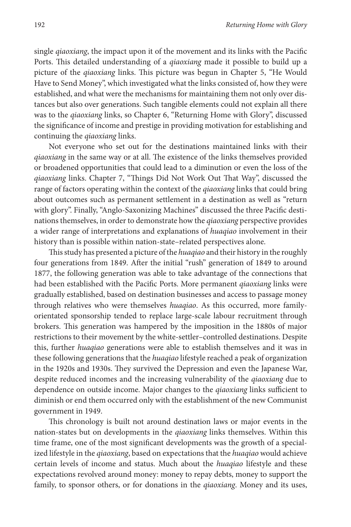single *qiaoxiang*, the impact upon it of the movement and its links with the Pacific Ports. This detailed understanding of a *qiaoxiang* made it possible to build up a picture of the *qiaoxiang* links. This picture was begun in Chapter 5, "He Would Have to Send Money", which investigated what the links consisted of, how they were established, and what were the mechanisms for maintaining them not only over distances but also over generations. Such tangible elements could not explain all there was to the *qiaoxiang* links, so Chapter 6, "Returning Home with Glory", discussed the significance of income and prestige in providing motivation for establishing and continuing the *qiaoxiang* links.

Not everyone who set out for the destinations maintained links with their *qiaoxiang* in the same way or at all. The existence of the links themselves provided or broadened opportunities that could lead to a diminution or even the loss of the *qiaoxiang* links. Chapter 7, "Things Did Not Work Out That Way", discussed the range of factors operating within the context of the *qiaoxiang* links that could bring about outcomes such as permanent settlement in a destination as well as "return with glory". Finally, "Anglo-Saxonizing Machines" discussed the three Pacific destinations themselves, in order to demonstrate how the *qiaoxiang* perspective provides a wider range of interpretations and explanations of *huaqiao* involvement in their history than is possible within nation-state–related perspectives alone.

This study has presented a picture of the *huaqiao* and their history in the roughly four generations from 1849. After the initial "rush" generation of 1849 to around 1877, the following generation was able to take advantage of the connections that had been established with the Pacific Ports. More permanent *qiaoxiang* links were gradually established, based on destination businesses and access to passage money through relatives who were themselves *huaqiao*. As this occurred, more familyorientated sponsorship tended to replace large-scale labour recruitment through brokers. This generation was hampered by the imposition in the 1880s of major restrictions to their movement by the white-settler–controlled destinations. Despite this, further *huaqiao* generations were able to establish themselves and it was in these following generations that the *huaqiao* lifestyle reached a peak of organization in the 1920s and 1930s. They survived the Depression and even the Japanese War, despite reduced incomes and the increasing vulnerability of the *qiaoxiang* due to dependence on outside income. Major changes to the *qiaoxiang* links sufficient to diminish or end them occurred only with the establishment of the new Communist government in 1949.

This chronology is built not around destination laws or major events in the nation-states but on developments in the *qiaoxiang* links themselves. Within this time frame, one of the most significant developments was the growth of a specialized lifestyle in the *qiaoxiang*, based on expectations that the *huaqiao* would achieve certain levels of income and status. Much about the *huaqiao* lifestyle and these expectations revolved around money: money to repay debts, money to support the family, to sponsor others, or for donations in the *qiaoxiang*. Money and its uses,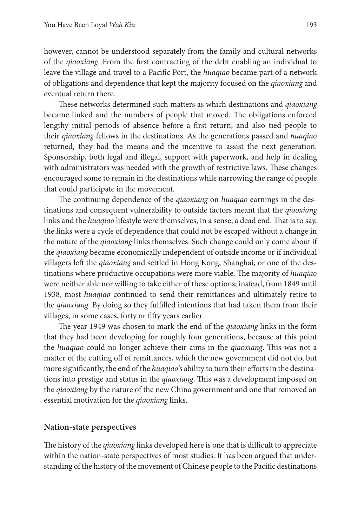however, cannot be understood separately from the family and cultural networks of the *qiaoxiang*. From the first contracting of the debt enabling an individual to leave the village and travel to a Pacific Port, the *huaqiao* became part of a network of obligations and dependence that kept the majority focused on the *qiaoxiang* and eventual return there.

These networks determined such matters as which destinations and *qiaoxiang* became linked and the numbers of people that moved. The obligations enforced lengthy initial periods of absence before a first return, and also tied people to their *qiaoxiang* fellows in the destinations. As the generations passed and *huaqiao* returned, they had the means and the incentive to assist the next generation. Sponsorship, both legal and illegal, support with paperwork, and help in dealing with administrators was needed with the growth of restrictive laws. These changes encouraged some to remain in the destinations while narrowing the range of people that could participate in the movement.

The continuing dependence of the *qiaoxiang* on *huaqiao* earnings in the destinations and consequent vulnerability to outside factors meant that the *qiaoxiang* links and the *huaqiao* lifestyle were themselves, in a sense, a dead end. That is to say, the links were a cycle of dependence that could not be escaped without a change in the nature of the *qiaoxiang* links themselves. Such change could only come about if the *qiaoxiang* became economically independent of outside income or if individual villagers left the *qiaoxiang* and settled in Hong Kong, Shanghai, or one of the destinations where productive occupations were more viable. The majority of *huaqiao* were neither able nor willing to take either of these options; instead, from 1849 until 1938, most *huaqiao* continued to send their remittances and ultimately retire to the *qiaoxiang*. By doing so they fulfilled intentions that had taken them from their villages, in some cases, forty or fifty years earlier.

The year 1949 was chosen to mark the end of the *qiaoxiang* links in the form that they had been developing for roughly four generations, because at this point the *huaqiao* could no longer achieve their aims in the *qiaoxiang*. This was not a matter of the cutting off of remittances, which the new government did not do, but more significantly, the end of the *huaqiao*'s ability to turn their efforts in the destinations into prestige and status in the *qiaoxiang*. This was a development imposed on the *qiaoxiang* by the nature of the new China government and one that removed an essential motivation for the *qiaoxiang* links.

#### **Nation-state perspectives**

The history of the *qiaoxiang* links developed here is one that is difficult to appreciate within the nation-state perspectives of most studies. It has been argued that understanding of the history of the movement of Chinese people to the Pacific destinations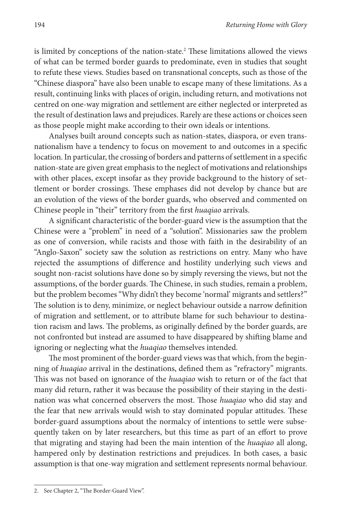is limited by conceptions of the nation-state.<sup>2</sup> These limitations allowed the views of what can be termed border guards to predominate, even in studies that sought to refute these views. Studies based on transnational concepts, such as those of the "Chinese diaspora" have also been unable to escape many of these limitations. As a result, continuing links with places of origin, including return, and motivations not centred on one-way migration and settlement are either neglected or interpreted as the result of destination laws and prejudices. Rarely are these actions or choices seen as those people might make according to their own ideals or intentions.

Analyses built around concepts such as nation-states, diaspora, or even transnationalism have a tendency to focus on movement to and outcomes in a specific location. In particular, the crossing of borders and patterns of settlement in a specific nation-state are given great emphasis to the neglect of motivations and relationships with other places, except insofar as they provide background to the history of settlement or border crossings. These emphases did not develop by chance but are an evolution of the views of the border guards, who observed and commented on Chinese people in "their" territory from the first *huaqiao* arrivals.

A significant characteristic of the border-guard view is the assumption that the Chinese were a "problem" in need of a "solution". Missionaries saw the problem as one of conversion, while racists and those with faith in the desirability of an "Anglo-Saxon" society saw the solution as restrictions on entry. Many who have rejected the assumptions of difference and hostility underlying such views and sought non-racist solutions have done so by simply reversing the views, but not the assumptions, of the border guards. The Chinese, in such studies, remain a problem, but the problem becomes "Why didn't they become 'normal' migrants and settlers?" The solution is to deny, minimize, or neglect behaviour outside a narrow definition of migration and settlement, or to attribute blame for such behaviour to destination racism and laws. The problems, as originally defined by the border guards, are not confronted but instead are assumed to have disappeared by shifting blame and ignoring or neglecting what the *huaqiao* themselves intended.

The most prominent of the border-guard views was that which, from the beginning of *huaqiao* arrival in the destinations, defined them as "refractory" migrants. This was not based on ignorance of the *huaqiao* wish to return or of the fact that many did return, rather it was because the possibility of their staying in the destination was what concerned observers the most. Those *huaqiao* who did stay and the fear that new arrivals would wish to stay dominated popular attitudes. These border-guard assumptions about the normalcy of intentions to settle were subsequently taken on by later researchers, but this time as part of an effort to prove that migrating and staying had been the main intention of the *huaqiao* all along, hampered only by destination restrictions and prejudices. In both cases, a basic assumption is that one-way migration and settlement represents normal behaviour.

<sup>2.</sup> See Chapter 2, "The Border-Guard View".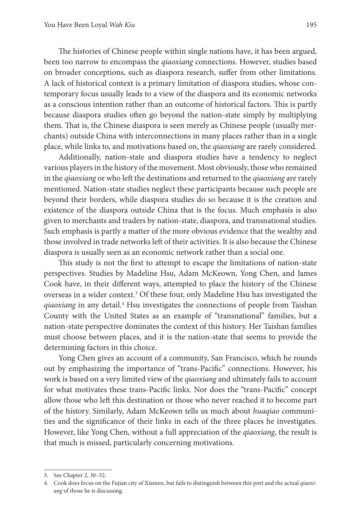The histories of Chinese people within single nations have, it has been argued, been too narrow to encompass the *qiaoxiang* connections. However, studies based on broader conceptions, such as diaspora research, suffer from other limitations. A lack of historical context is a primary limitation of diaspora studies, whose contemporary focus usually leads to a view of the diaspora and its economic networks as a conscious intention rather than an outcome of historical factors. This is partly because diaspora studies often go beyond the nation-state simply by multiplying them. That is, the Chinese diaspora is seen merely as Chinese people (usually merchants) outside China with interconnections in many places rather than in a single place, while links to, and motivations based on, the *qiaoxiang* are rarely considered.

Additionally, nation-state and diaspora studies have a tendency to neglect various players in the history of the movement. Most obviously, those who remained in the *qiaoxiang* or who left the destinations and returned to the *qiaoxiang* are rarely mentioned. Nation-state studies neglect these participants because such people are beyond their borders, while diaspora studies do so because it is the creation and existence of the diaspora outside China that is the focus. Much emphasis is also given to merchants and traders by nation-state, diaspora, and transnational studies. Such emphasis is partly a matter of the more obvious evidence that the wealthy and those involved in trade networks left of their activities. It is also because the Chinese diaspora is usually seen as an economic network rather than a social one.

This study is not the first to attempt to escape the limitations of nation-state perspectives. Studies by Madeline Hsu, Adam McKeown, Yong Chen, and James Cook have, in their different ways, attempted to place the history of the Chinese overseas in a wider context.<sup>3</sup> Of these four, only Madeline Hsu has investigated the qiaoxiang in any detail.<sup>4</sup> Hsu investigates the connections of people from Taishan County with the United States as an example of "transnational" families, but a nation-state perspective dominates the context of this history. Her Taishan families must choose between places, and it is the nation-state that seems to provide the determining factors in this choice.

Yong Chen gives an account of a community, San Francisco, which he rounds out by emphasizing the importance of "trans-Pacific" connections. However, his work is based on a very limited view of the *qiaoxiang* and ultimately fails to account for what motivates these trans-Pacific links. Nor does the "trans-Pacific" concept allow those who left this destination or those who never reached it to become part of the history. Similarly, Adam McKeown tells us much about *huaqiao* communities and the significance of their links in each of the three places he investigates. However, like Yong Chen, without a full appreciation of the *qiaoxiang*, the result is that much is missed, particularly concerning motivations.

<sup>3.</sup> See Chapter 2, 30–32.

<sup>4.</sup> Cook does focus on the Fujian city of Xiamen, but fails to distinguish between this port and the actual *qiaoxiang* of those he is discussing.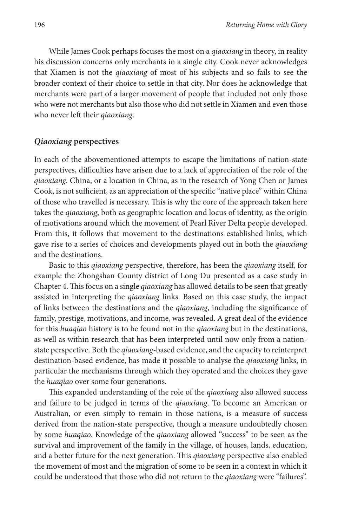While James Cook perhaps focuses the most on a *qiaoxiang* in theory, in reality his discussion concerns only merchants in a single city. Cook never acknowledges that Xiamen is not the *qiaoxiang* of most of his subjects and so fails to see the broader context of their choice to settle in that city. Nor does he acknowledge that merchants were part of a larger movement of people that included not only those who were not merchants but also those who did not settle in Xiamen and even those who never left their *qiaoxiang*.

#### *Qiaoxiang* **perspectives**

In each of the abovementioned attempts to escape the limitations of nation-state perspectives, difficulties have arisen due to a lack of appreciation of the role of the *qiaoxiang*. China, or a location in China, as in the research of Yong Chen or James Cook, is not sufficient, as an appreciation of the specific "native place" within China of those who travelled is necessary. This is why the core of the approach taken here takes the *qiaoxiang*, both as geographic location and locus of identity, as the origin of motivations around which the movement of Pearl River Delta people developed. From this, it follows that movement to the destinations established links, which gave rise to a series of choices and developments played out in both the *qiaoxiang* and the destinations.

Basic to this *qiaoxiang* perspective, therefore, has been the *qiaoxiang* itself, for example the Zhongshan County district of Long Du presented as a case study in Chapter 4. This focus on a single *qiaoxiang* has allowed details to be seen that greatly assisted in interpreting the *qiaoxiang* links. Based on this case study, the impact of links between the destinations and the *qiaoxiang*, including the significance of family, prestige, motivations, and income, was revealed. A great deal of the evidence for this *huaqiao* history is to be found not in the *qiaoxiang* but in the destinations, as well as within research that has been interpreted until now only from a nationstate perspective. Both the *qiaoxiang*-based evidence, and the capacity to reinterpret destination-based evidence, has made it possible to analyse the *qiaoxiang* links, in particular the mechanisms through which they operated and the choices they gave the *huaqiao* over some four generations.

This expanded understanding of the role of the *qiaoxiang* also allowed success and failure to be judged in terms of the *qiaoxiang*. To become an American or Australian, or even simply to remain in those nations, is a measure of success derived from the nation-state perspective, though a measure undoubtedly chosen by some *huaqiao*. Knowledge of the *qiaoxiang* allowed "success" to be seen as the survival and improvement of the family in the village, of houses, lands, education, and a better future for the next generation. This *qiaoxiang* perspective also enabled the movement of most and the migration of some to be seen in a context in which it could be understood that those who did not return to the *qiaoxiang* were "failures".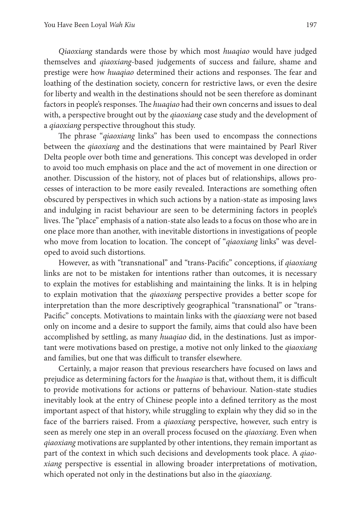*Qiaoxiang* standards were those by which most *huaqiao* would have judged themselves and *qiaoxiang*-based judgements of success and failure, shame and prestige were how *huaqiao* determined their actions and responses. The fear and loathing of the destination society, concern for restrictive laws, or even the desire for liberty and wealth in the destinations should not be seen therefore as dominant factors in people's responses. The *huaqiao* had their own concerns and issues to deal with, a perspective brought out by the *qiaoxiang* case study and the development of a *qiaoxiang* perspective throughout this study.

The phrase "*qiaoxiang* links" has been used to encompass the connections between the *qiaoxiang* and the destinations that were maintained by Pearl River Delta people over both time and generations. This concept was developed in order to avoid too much emphasis on place and the act of movement in one direction or another. Discussion of the history, not of places but of relationships, allows processes of interaction to be more easily revealed. Interactions are something often obscured by perspectives in which such actions by a nation-state as imposing laws and indulging in racist behaviour are seen to be determining factors in people's lives. The "place" emphasis of a nation-state also leads to a focus on those who are in one place more than another, with inevitable distortions in investigations of people who move from location to location. The concept of "*qiaoxiang* links" was developed to avoid such distortions.

However, as with "transnational" and "trans-Pacific" conceptions, if *qiaoxiang* links are not to be mistaken for intentions rather than outcomes, it is necessary to explain the motives for establishing and maintaining the links. It is in helping to explain motivation that the *qiaoxiang* perspective provides a better scope for interpretation than the more descriptively geographical "transnational" or "trans-Pacific" concepts. Motivations to maintain links with the *qiaoxiang* were not based only on income and a desire to support the family, aims that could also have been accomplished by settling, as many *huaqiao* did, in the destinations. Just as important were motivations based on prestige, a motive not only linked to the *qiaoxiang* and families, but one that was difficult to transfer elsewhere.

Certainly, a major reason that previous researchers have focused on laws and prejudice as determining factors for the *huaqiao* is that, without them, it is difficult to provide motivations for actions or patterns of behaviour. Nation-state studies inevitably look at the entry of Chinese people into a defined territory as the most important aspect of that history, while struggling to explain why they did so in the face of the barriers raised. From a *qiaoxiang* perspective, however, such entry is seen as merely one step in an overall process focused on the *qiaoxiang*. Even when *qiaoxiang* motivations are supplanted by other intentions, they remain important as part of the context in which such decisions and developments took place. A *qiaoxiang* perspective is essential in allowing broader interpretations of motivation, which operated not only in the destinations but also in the *qiaoxiang*.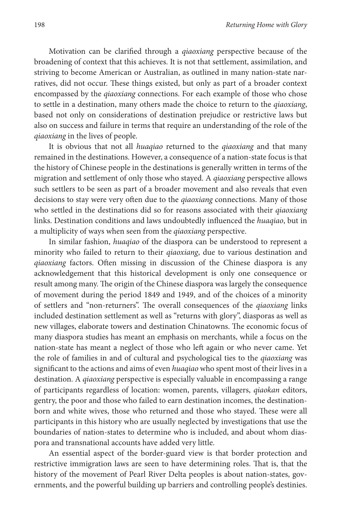Motivation can be clarified through a *qiaoxiang* perspective because of the broadening of context that this achieves. It is not that settlement, assimilation, and striving to become American or Australian, as outlined in many nation-state narratives, did not occur. These things existed, but only as part of a broader context encompassed by the *qiaoxiang* connections. For each example of those who chose to settle in a destination, many others made the choice to return to the *qiaoxiang*, based not only on considerations of destination prejudice or restrictive laws but also on success and failure in terms that require an understanding of the role of the *qiaoxiang* in the lives of people.

It is obvious that not all *huaqiao* returned to the *qiaoxiang* and that many remained in the destinations. However, a consequence of a nation-state focus is that the history of Chinese people in the destinations is generally written in terms of the migration and settlement of only those who stayed. A *qiaoxiang* perspective allows such settlers to be seen as part of a broader movement and also reveals that even decisions to stay were very often due to the *qiaoxiang* connections. Many of those who settled in the destinations did so for reasons associated with their *qiaoxiang* links. Destination conditions and laws undoubtedly influenced the *huaqiao*, but in a multiplicity of ways when seen from the *qiaoxiang* perspective.

In similar fashion, *huaqiao* of the diaspora can be understood to represent a minority who failed to return to their *qiaoxiang*, due to various destination and *qiaoxiang* factors. Often missing in discussion of the Chinese diaspora is any acknowledgement that this historical development is only one consequence or result among many. The origin of the Chinese diaspora was largely the consequence of movement during the period 1849 and 1949, and of the choices of a minority of settlers and "non-returners". The overall consequences of the *qiaoxiang* links included destination settlement as well as "returns with glory", diasporas as well as new villages, elaborate towers and destination Chinatowns. The economic focus of many diaspora studies has meant an emphasis on merchants, while a focus on the nation-state has meant a neglect of those who left again or who never came. Yet the role of families in and of cultural and psychological ties to the *qiaoxiang* was significant to the actions and aims of even *huaqiao* who spent most of their lives in a destination. A *qiaoxiang* perspective is especially valuable in encompassing a range of participants regardless of location: women, parents, villagers, *qiaokan* editors, gentry, the poor and those who failed to earn destination incomes, the destinationborn and white wives, those who returned and those who stayed. These were all participants in this history who are usually neglected by investigations that use the boundaries of nation-states to determine who is included, and about whom diaspora and transnational accounts have added very little.

An essential aspect of the border-guard view is that border protection and restrictive immigration laws are seen to have determining roles. That is, that the history of the movement of Pearl River Delta peoples is about nation-states, governments, and the powerful building up barriers and controlling people's destinies.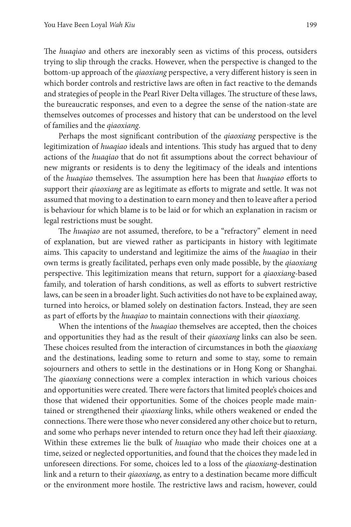The *huaqiao* and others are inexorably seen as victims of this process, outsiders trying to slip through the cracks. However, when the perspective is changed to the bottom-up approach of the *qiaoxiang* perspective, a very different history is seen in which border controls and restrictive laws are often in fact reactive to the demands and strategies of people in the Pearl River Delta villages. The structure of these laws, the bureaucratic responses, and even to a degree the sense of the nation-state are themselves outcomes of processes and history that can be understood on the level of families and the *qiaoxiang*.

Perhaps the most significant contribution of the *qiaoxiang* perspective is the legitimization of *huaqiao* ideals and intentions. This study has argued that to deny actions of the *huaqiao* that do not fit assumptions about the correct behaviour of new migrants or residents is to deny the legitimacy of the ideals and intentions of the *huaqiao* themselves. The assumption here has been that *huaqiao* efforts to support their *qiaoxiang* are as legitimate as efforts to migrate and settle. It was not assumed that moving to a destination to earn money and then to leave after a period is behaviour for which blame is to be laid or for which an explanation in racism or legal restrictions must be sought.

The *huaqiao* are not assumed, therefore, to be a "refractory" element in need of explanation, but are viewed rather as participants in history with legitimate aims. This capacity to understand and legitimize the aims of the *huaqiao* in their own terms is greatly facilitated, perhaps even only made possible, by the *qiaoxiang* perspective. This legitimization means that return, support for a *qiaoxiang*-based family, and toleration of harsh conditions, as well as efforts to subvert restrictive laws, can be seen in a broader light. Such activities do not have to be explained away, turned into heroics, or blamed solely on destination factors. Instead, they are seen as part of efforts by the *huaqiao* to maintain connections with their *qiaoxiang*.

When the intentions of the *huaqiao* themselves are accepted, then the choices and opportunities they had as the result of their *qiaoxiang* links can also be seen. These choices resulted from the interaction of circumstances in both the *qiaoxiang* and the destinations, leading some to return and some to stay, some to remain sojourners and others to settle in the destinations or in Hong Kong or Shanghai. The *qiaoxiang* connections were a complex interaction in which various choices and opportunities were created. There were factors that limited people's choices and those that widened their opportunities. Some of the choices people made maintained or strengthened their *qiaoxiang* links, while others weakened or ended the connections. There were those who never considered any other choice but to return, and some who perhaps never intended to return once they had left their *qiaoxiang*. Within these extremes lie the bulk of *huaqiao* who made their choices one at a time, seized or neglected opportunities, and found that the choices they made led in unforeseen directions. For some, choices led to a loss of the *qiaoxiang*-destination link and a return to their *qiaoxiang*, as entry to a destination became more difficult or the environment more hostile. The restrictive laws and racism, however, could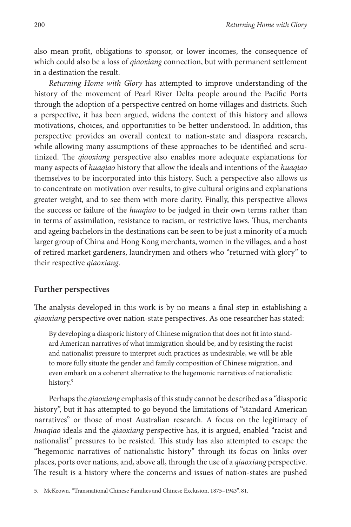also mean profit, obligations to sponsor, or lower incomes, the consequence of which could also be a loss of *qiaoxiang* connection, but with permanent settlement in a destination the result.

*Returning Home with Glory* has attempted to improve understanding of the history of the movement of Pearl River Delta people around the Pacific Ports through the adoption of a perspective centred on home villages and districts. Such a perspective, it has been argued, widens the context of this history and allows motivations, choices, and opportunities to be better understood. In addition, this perspective provides an overall context to nation-state and diaspora research, while allowing many assumptions of these approaches to be identified and scrutinized. The *qiaoxiang* perspective also enables more adequate explanations for many aspects of *huaqiao* history that allow the ideals and intentions of the *huaqiao* themselves to be incorporated into this history. Such a perspective also allows us to concentrate on motivation over results, to give cultural origins and explanations greater weight, and to see them with more clarity. Finally, this perspective allows the success or failure of the *huaqiao* to be judged in their own terms rather than in terms of assimilation, resistance to racism, or restrictive laws. Thus, merchants and ageing bachelors in the destinations can be seen to be just a minority of a much larger group of China and Hong Kong merchants, women in the villages, and a host of retired market gardeners, laundrymen and others who "returned with glory" to their respective *qiaoxiang*.

#### **Further perspectives**

The analysis developed in this work is by no means a final step in establishing a *qiaoxiang* perspective over nation-state perspectives. As one researcher has stated:

By developing a diasporic history of Chinese migration that does not fit into standard American narratives of what immigration should be, and by resisting the racist and nationalist pressure to interpret such practices as undesirable, we will be able to more fully situate the gender and family composition of Chinese migration, and even embark on a coherent alternative to the hegemonic narratives of nationalistic history.<sup>5</sup>

Perhaps the *qiaoxiang* emphasis of this study cannot be described as a "diasporic history", but it has attempted to go beyond the limitations of "standard American narratives" or those of most Australian research. A focus on the legitimacy of *huaqiao* ideals and the *qiaoxiang* perspective has, it is argued, enabled "racist and nationalist" pressures to be resisted. This study has also attempted to escape the "hegemonic narratives of nationalistic history" through its focus on links over places, ports over nations, and, above all, through the use of a *qiaoxiang* perspective. The result is a history where the concerns and issues of nation-states are pushed

<sup>5.</sup> McKeown, "Transnational Chinese Families and Chinese Exclusion, 1875–1943", 81.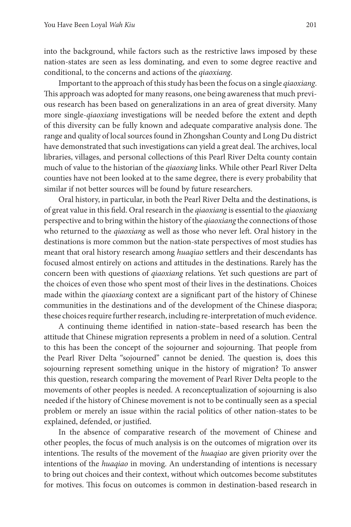into the background, while factors such as the restrictive laws imposed by these nation-states are seen as less dominating, and even to some degree reactive and conditional, to the concerns and actions of the *qiaoxiang*.

Important to the approach of this study has been the focus on a single *qiaoxiang*. This approach was adopted for many reasons, one being awareness that much previous research has been based on generalizations in an area of great diversity. Many more single-*qiaoxiang* investigations will be needed before the extent and depth of this diversity can be fully known and adequate comparative analysis done. The range and quality of local sources found in Zhongshan County and Long Du district have demonstrated that such investigations can yield a great deal. The archives, local libraries, villages, and personal collections of this Pearl River Delta county contain much of value to the historian of the *qiaoxiang* links. While other Pearl River Delta counties have not been looked at to the same degree, there is every probability that similar if not better sources will be found by future researchers.

Oral history, in particular, in both the Pearl River Delta and the destinations, is of great value in this field. Oral research in the *qiaoxiang* is essential to the *qiaoxiang* perspective and to bring within the history of the *qiaoxiang* the connections of those who returned to the *qiaoxiang* as well as those who never left. Oral history in the destinations is more common but the nation-state perspectives of most studies has meant that oral history research among *huaqiao* settlers and their descendants has focused almost entirely on actions and attitudes in the destinations. Rarely has the concern been with questions of *qiaoxiang* relations. Yet such questions are part of the choices of even those who spent most of their lives in the destinations. Choices made within the *qiaoxiang* context are a significant part of the history of Chinese communities in the destinations and of the development of the Chinese diaspora; these choices require further research, including re-interpretation of much evidence.

A continuing theme identified in nation-state–based research has been the attitude that Chinese migration represents a problem in need of a solution. Central to this has been the concept of the sojourner and sojourning. That people from the Pearl River Delta "sojourned" cannot be denied. The question is, does this sojourning represent something unique in the history of migration? To answer this question, research comparing the movement of Pearl River Delta people to the movements of other peoples is needed. A reconceptualization of sojourning is also needed if the history of Chinese movement is not to be continually seen as a special problem or merely an issue within the racial politics of other nation-states to be explained, defended, or justified.

In the absence of comparative research of the movement of Chinese and other peoples, the focus of much analysis is on the outcomes of migration over its intentions. The results of the movement of the *huaqiao* are given priority over the intentions of the *huaqiao* in moving. An understanding of intentions is necessary to bring out choices and their context, without which outcomes become substitutes for motives. This focus on outcomes is common in destination-based research in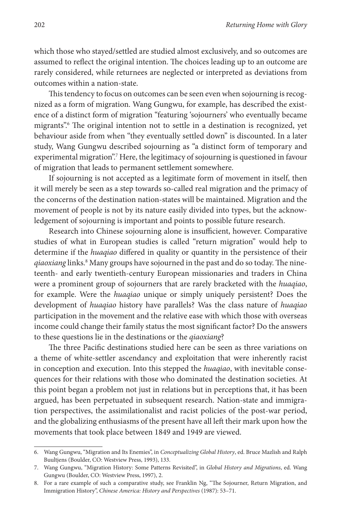which those who stayed/settled are studied almost exclusively, and so outcomes are assumed to reflect the original intention. The choices leading up to an outcome are rarely considered, while returnees are neglected or interpreted as deviations from outcomes within a nation-state.

This tendency to focus on outcomes can be seen even when sojourning is recognized as a form of migration. Wang Gungwu, for example, has described the existence of a distinct form of migration "featuring 'sojourners' who eventually became migrants".6 The original intention not to settle in a destination is recognized, yet behaviour aside from when "they eventually settled down" is discounted. In a later study, Wang Gungwu described sojourning as "a distinct form of temporary and experimental migration".<sup>7</sup> Here, the legitimacy of sojourning is questioned in favour of migration that leads to permanent settlement somewhere.

If sojourning is not accepted as a legitimate form of movement in itself, then it will merely be seen as a step towards so-called real migration and the primacy of the concerns of the destination nation-states will be maintained. Migration and the movement of people is not by its nature easily divided into types, but the acknowledgement of sojourning is important and points to possible future research.

Research into Chinese sojourning alone is insufficient, however. Comparative studies of what in European studies is called "return migration" would help to determine if the *huaqiao* differed in quality or quantity in the persistence of their qiaoxiang links.<sup>8</sup> Many groups have sojourned in the past and do so today. The nineteenth- and early twentieth-century European missionaries and traders in China were a prominent group of sojourners that are rarely bracketed with the *huaqiao*, for example. Were the *huaqiao* unique or simply uniquely persistent? Does the development of *huaqiao* history have parallels? Was the class nature of *huaqiao* participation in the movement and the relative ease with which those with overseas income could change their family status the most significant factor? Do the answers to these questions lie in the destinations or the *qiaoxiang*?

The three Pacific destinations studied here can be seen as three variations on a theme of white-settler ascendancy and exploitation that were inherently racist in conception and execution. Into this stepped the *huaqiao*, with inevitable consequences for their relations with those who dominated the destination societies. At this point began a problem not just in relations but in perceptions that, it has been argued, has been perpetuated in subsequent research. Nation-state and immigration perspectives, the assimilationalist and racist policies of the post-war period, and the globalizing enthusiasms of the present have all left their mark upon how the movements that took place between 1849 and 1949 are viewed.

<sup>6.</sup> Wang Gungwu, "Migration and Its Enemies", in *Conceptualizing Global History*, ed. Bruce Mazlish and Ralph Buultjens (Boulder, CO: Westview Press, 1993), 133.

<sup>7.</sup> Wang Gungwu, "Migration History: Some Patterns Revisited", in *Global History and Migrations*, ed. Wang Gungwu (Boulder, CO: Westview Press, 1997), 2.

<sup>8.</sup> For a rare example of such a comparative study, see Franklin Ng, "The Sojourner, Return Migration, and Immigration History", *Chinese America: History and Perspectives* (1987): 53–71.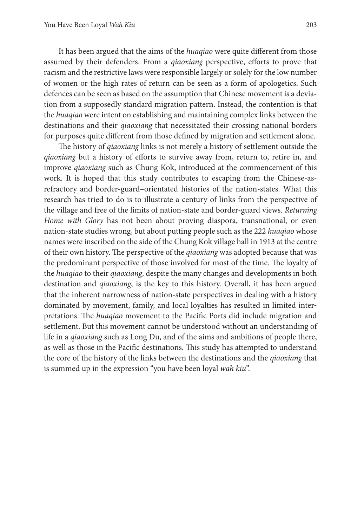It has been argued that the aims of the *huaqiao* were quite different from those assumed by their defenders. From a *qiaoxiang* perspective, efforts to prove that racism and the restrictive laws were responsible largely or solely for the low number of women or the high rates of return can be seen as a form of apologetics. Such defences can be seen as based on the assumption that Chinese movement is a deviation from a supposedly standard migration pattern. Instead, the contention is that the *huaqiao* were intent on establishing and maintaining complex links between the destinations and their *qiaoxiang* that necessitated their crossing national borders for purposes quite different from those defined by migration and settlement alone.

The history of *qiaoxiang* links is not merely a history of settlement outside the *qiaoxiang* but a history of efforts to survive away from, return to, retire in, and improve *qiaoxiang* such as Chung Kok, introduced at the commencement of this work. It is hoped that this study contributes to escaping from the Chinese-asrefractory and border-guard–orientated histories of the nation-states. What this research has tried to do is to illustrate a century of links from the perspective of the village and free of the limits of nation-state and border-guard views. *Returning Home with Glory* has not been about proving diaspora, transnational, or even nation-state studies wrong, but about putting people such as the 222 *huaqiao* whose names were inscribed on the side of the Chung Kok village hall in 1913 at the centre of their own history. The perspective of the *qiaoxiang* was adopted because that was the predominant perspective of those involved for most of the time. The loyalty of the *huaqiao* to their *qiaoxiang*, despite the many changes and developments in both destination and *qiaoxiang*, is the key to this history. Overall, it has been argued that the inherent narrowness of nation-state perspectives in dealing with a history dominated by movement, family, and local loyalties has resulted in limited interpretations. The *huaqiao* movement to the Pacific Ports did include migration and settlement. But this movement cannot be understood without an understanding of life in a *qiaoxiang* such as Long Du, and of the aims and ambitions of people there, as well as those in the Pacific destinations. This study has attempted to understand the core of the history of the links between the destinations and the *qiaoxiang* that is summed up in the expression "you have been loyal *wah kiu*".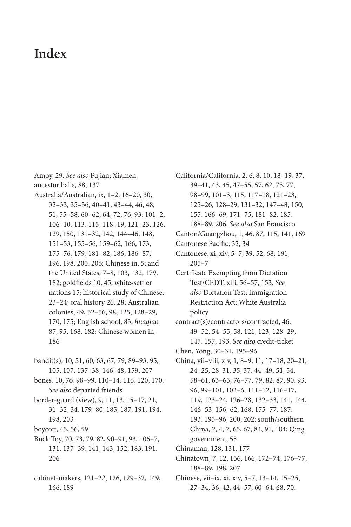### **Index**

Amoy, 29. *See also* Fujian; Xiamen ancestor halls, 88, 137

- Australia/Australian, ix, 1–2, 16–20, 30, 32–33, 35–36, 40–41, 43–44, 46, 48, 51, 55–58, 60–62, 64, 72, 76, 93, 101–2, 106–10, 113, 115, 118–19, 121–23, 126, 129, 150, 131–32, 142, 144–46, 148, 151–53, 155–56, 159–62, 166, 173, 175–76, 179, 181–82, 186, 186–87, 196, 198, 200, 206: Chinese in, 5; and the United States, 7–8, 103, 132, 179, 182; goldfields 10, 45; white-settler nations 15; historical study of Chinese, 23–24; oral history 26, 28; Australian colonies, 49, 52–56, 98, 125, 128–29, 170, 175; English school, 83; *huaqiao* 87, 95, 168, 182; Chinese women in, 186
- bandit(s), 10, 51, 60, 63, 67, 79, 89–93, 95, 105, 107, 137–38, 146–48, 159, 207
- bones, 10, 76, 98–99, 110–14, 116, 120, 170. *See also* departed friends
- border-guard (view), 9, 11, 13, 15–17, 21, 31–32, 34, 179–80, 185, 187, 191, 194, 198, 203
- boycott, 45, 56, 59
- Buck Toy, 70, 73, 79, 82, 90–91, 93, 106–7, 131, 137–39, 141, 143, 152, 183, 191, 206
- cabinet-makers, 121–22, 126, 129–32, 149, 166, 189

39–41, 43, 45, 47–55, 57, 62, 73, 77, 98–99, 101–3, 115, 117–18, 121–23, 125–26, 128–29, 131–32, 147–48, 150, 155, 166–69, 171–75, 181–82, 185, 188–89, 206. *See also* San Francisco Canton/Guangzhou, 1, 46, 87, 115, 141, 169 Cantonese Pacific, 32, 34 Cantonese, xi, xiv, 5–7, 39, 52, 68, 191, 205–7 Certificate Exempting from Dictation Test/CEDT, xiii, 56–57, 153. *See also* Dictation Test; Immigration Restriction Act; White Australia policy contract(s)/contractors/contracted, 46, 49–52, 54–55, 58, 121, 123, 128–29,

California/California, 2, 6, 8, 10, 18–19, 37,

- 147, 157, 193. *See also* credit-ticket
- Chen, Yong, 30–31, 195–96
- China, vii–viii, xiv, 1, 8–9, 11, 17–18, 20–21, 24–25, 28, 31, 35, 37, 44–49, 51, 54, 58–61, 63–65, 76–77, 79, 82, 87, 90, 93, 96, 99–101, 103–6, 111–12, 116–17, 119, 123–24, 126–28, 132–33, 141, 144, 146–53, 156–62, 168, 175–77, 187, 193, 195–96, 200, 202; south/southern China, 2, 4, 7, 65, 67, 84, 91, 104; Qing government, 55
- Chinaman, 128, 131, 177
- Chinatown, 7, 12, 156, 166, 172–74, 176–77, 188–89, 198, 207
- Chinese, vii–ix, xi, xiv, 5–7, 13–14, 15–25, 27–34, 36, 42, 44–57, 60–64, 68, 70,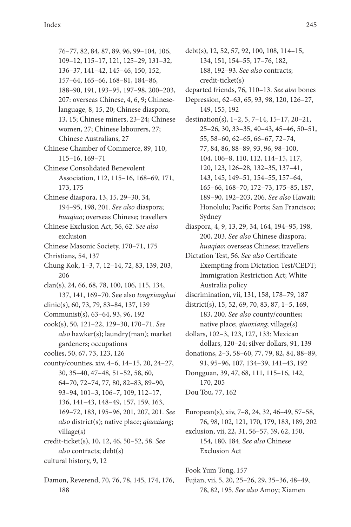76–77, 82, 84, 87, 89, 96, 99–104, 106, 109–12, 115–17, 121, 125–29, 131–32, 136–37, 141–42, 145–46, 150, 152, 157–64, 165–66, 168–81, 184–86, 188–90, 191, 193–95, 197–98, 200–203, 207: overseas Chinese, 4, 6, 9; Chineselanguage, 8, 15, 20; Chinese diaspora, 13, 15; Chinese miners, 23–24; Chinese women, 27; Chinese labourers, 27; Chinese Australians, 27

Chinese Chamber of Commerce, 89, 110, 115–16, 169–71

Chinese Consolidated Benevolent Association, 112, 115–16, 168–69, 171, 173, 175

Chinese diaspora, 13, 15, 29–30, 34, 194–95, 198, 201. *See also* diaspora; *huaqiao*; overseas Chinese; travellers

Chinese Exclusion Act, 56, 62. *See also* exclusion

- Chinese Masonic Society, 170–71, 175
- Christians, 54, 137

Chung Kok, 1–3, 7, 12–14, 72, 83, 139, 203, 206

- clan(s), 24, 66, 68, 78, 100, 106, 115, 134, 137, 141, 169–70. See also *tongxianghui*
- clinic(s), 60, 73, 79, 83–84, 137, 139
- Communist(s), 63–64, 93, 96, 192
- cook(s), 50, 121–22, 129–30, 170–71. *See also* hawker(s); laundry(man); market gardeners; occupations
- coolies, 50, 67, 73, 123, 126
- county/counties, xiv, 4–6, 14–15, 20, 24–27, 30, 35–40, 47–48, 51–52, 58, 60, 64–70, 72–74, 77, 80, 82–83, 89–90, 93–94, 101–3, 106–7, 109, 112–17, 136, 141–43, 148–49, 157, 159, 163, 169–72, 183, 195–96, 201, 207, 201. *See also* district(s); native place; *qiaoxiang*; village(s)
- credit-ticket(s), 10, 12, 46, 50–52, 58. *See also* contracts; debt(s) cultural history, 9, 12
- Damon, Reverend, 70, 76, 78, 145, 174, 176, 188

debt(s), 12, 52, 57, 92, 100, 108, 114–15, 134, 151, 154–55, 17–76, 182, 188, 192–93. *See also* contracts; credit-ticket(s)

- departed friends, 76, 110–13. *See also* bones
- Depression, 62–63, 65, 93, 98, 120, 126–27, 149, 155, 192
- destination(s), 1–2, 5, 7–14, 15–17, 20–21, 25–26, 30, 33–35, 40–43, 45–46, 50–51, 55, 58–60, 62–65, 66–67, 72–74, 77, 84, 86, 88–89, 93, 96, 98–100, 104, 106–8, 110, 112, 114–15, 117, 120, 123, 126–28, 132–35, 137–41, 143, 145, 149–51, 154–55, 157–64, 165–66, 168–70, 172–73, 175–85, 187, 189–90, 192–203, 206. *See also* Hawaii; Honolulu; Pacific Ports; San Francisco; Sydney
- diaspora, 4, 9, 13, 29, 34, 164, 194–95, 198, 200, 203. *See also* Chinese diaspora; *huaqiao*; overseas Chinese; travellers
- Dictation Test, 56. *See also* Certificate Exempting from Dictation Test/CEDT; Immigration Restriction Act; White Australia policy
- discrimination, vii, 131, 158, 178–79, 187
- district(s), 15, 52, 69, 70, 83, 87, 1–5, 169, 183, 200. *See also* county/counties; native place; *qiaoxiang*; village(s)
- dollars, 102–3, 123, 127, 133: Mexican dollars, 120–24; silver dollars, 91, 139
- donations, 2–3, 58–60, 77, 79, 82, 84, 88–89, 91, 95–96, 107, 134–39, 141–43, 192
- Dongguan, 39, 47, 68, 111, 115–16, 142, 170, 205
- Dou Tou, 77, 162
- European(s), xiv, 7–8, 24, 32, 46–49, 57–58, 76, 98, 102, 121, 170, 179, 183, 189, 202

exclusion, vii, 22, 31, 56–57, 59, 62, 150, 154, 180, 184. *See also* Chinese Exclusion Act

Fook Yum Tong, 157

Fujian, vii, 5, 20, 25–26, 29, 35–36, 48–49, 78, 82, 195. *See also* Amoy; Xiamen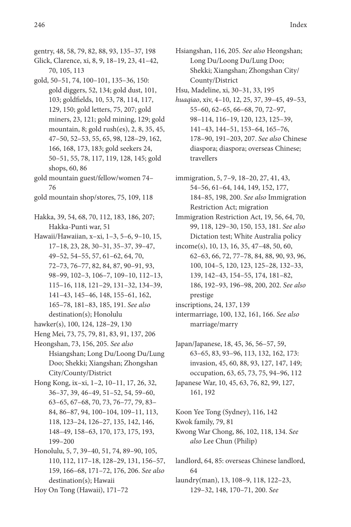- gentry, 48, 58, 79, 82, 88, 93, 135–37, 198 Glick, Clarence, xi, 8, 9, 18–19, 23, 41–42,
- 70, 105, 113 gold, 50–51, 74, 100–101, 135–36, 150: gold diggers, 52, 134; gold dust, 101, 103; goldfields, 10, 53, 78, 114, 117, 129, 150; gold letters, 75, 207; gold miners, 23, 121; gold mining, 129; gold mountain, 8; gold rush(es), 2, 8, 35, 45, 47–50, 52–53, 55, 65, 98, 128–29, 162, 166, 168, 173, 183; gold seekers 24, 50–51, 55, 78, 117, 119, 128, 145; gold shops, 60, 86
- gold mountain guest/fellow/women 74– 76
- gold mountain shop/stores, 75, 109, 118
- Hakka, 39, 54, 68, 70, 112, 183, 186, 207; Hakka-Punti war, 51
- Hawaii/Hawaiian, x–xi, 1–3, 5–6, 9–10, 15, 17–18, 23, 28, 30–31, 35–37, 39–47, 49–52, 54–55, 57, 61–62, 64, 70, 72–73, 76–77, 82, 84, 87, 90–91, 93, 98–99, 102–3, 106–7, 109–10, 112–13, 115–16, 118, 121–29, 131–32, 134–39, 141–43, 145–46, 148, 155–61, 162, 165–78, 181–83, 185, 191. *See also* destination(s); Honolulu
- hawker(s), 100, 124, 128–29, 130
- Heng Mei, 73, 75, 79, 81, 83, 91, 137, 206
- Heongshan, 73, 156, 205. *See also* Hsiangshan; Long Du/Loong Du/Lung Doo; Shekki; Xiangshan; Zhongshan City/County/District
- Hong Kong, ix–xi, 1–2, 10–11, 17, 26, 32, 36–37, 39, 46–49, 51–52, 54, 59–60, 63–65, 67–68, 70, 73, 76–77, 79, 83– 84, 86–87, 94, 100–104, 109–11, 113, 118, 123–24, 126–27, 135, 142, 146, 148–49, 158–63, 170, 173, 175, 193, 199–200
- Honolulu, 5, 7, 39–40, 51, 74, 89–90, 105, 110, 112, 117–18, 128–29, 131, 156–57, 159, 166–68, 171–72, 176, 206. *See also* destination(s); Hawaii
- Hoy On Tong (Hawaii), 171–72
- Hsiangshan, 116, 205. *See also* Heongshan; Long Du/Loong Du/Lung Doo; Shekki; Xiangshan; Zhongshan City/ County/District
- Hsu, Madeline, xi, 30–31, 33, 195
- *huaqiao*, xiv, 4–10, 12, 25, 37, 39–45, 49–53, 55–60, 62–65, 66–68, 70, 72–97, 98–114, 116–19, 120, 123, 125–39, 141–43, 144–51, 153–64, 165–76, 178–90, 191–203, 207. *See also* Chinese diaspora; diaspora; overseas Chinese; travellers
- immigration, 5, 7–9, 18–20, 27, 41, 43, 54–56, 61–64, 144, 149, 152, 177, 184–85, 198, 200. *See also* Immigration Restriction Act; migration
- Immigration Restriction Act, 19, 56, 64, 70, 99, 118, 129–30, 150, 153, 181. *See also* Dictation test; White Australia policy
- income(s), 10, 13, 16, 35, 47–48, 50, 60, 62–63, 66, 72, 77–78, 84, 88, 90, 93, 96, 100, 104–5, 120, 123, 125–28, 132–33, 139, 142–43, 154–55, 174, 181–82, 186, 192–93, 196–98, 200, 202. *See also* prestige
- inscriptions, 24, 137, 139
- intermarriage, 100, 132, 161, 166. *See also* marriage/marry
- Japan/Japanese, 18, 45, 36, 56–57, 59, 63–65, 83, 93–96, 113, 132, 162, 173: invasion, 45, 60, 88, 93, 127, 147, 149; occupation, 63, 65, 73, 75, 94–96, 112 Japanese War, 10, 45, 63, 76, 82, 99, 127,
	- 161, 192
- Koon Yee Tong (Sydney), 116, 142
- Kwok family, 79, 81
- Kwong War Chong, 86, 102, 118, 134. *See also* Lee Chun (Philip)
- landlord, 64, 85: overseas Chinese landlord, 64 laundry(man), 13, 108–9, 118, 122–23,
	- 129–32, 148, 170–71, 200. *See*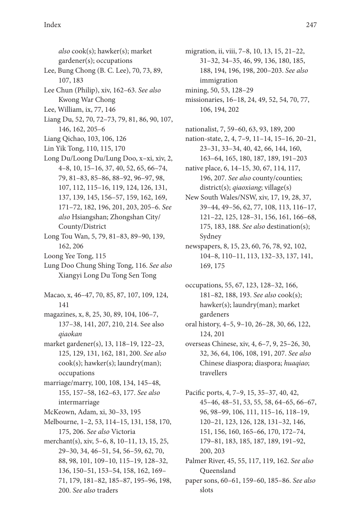*also* cook(s); hawker(s); market gardener(s); occupations Lee, Bung Chong (B. C. Lee), 70, 73, 89, 107, 183 Lee Chun (Philip), xiv, 162–63. *See also* Kwong War Chong Lee, William, ix, 77, 146 Liang Du, 52, 70, 72–73, 79, 81, 86, 90, 107, 146, 162, 205–6 Liang Qichao, 103, 106, 126 Lin Yik Tong, 110, 115, 170 Long Du/Loong Du/Lung Doo, x–xi, xiv, 2, 4–8, 10, 15–16, 37, 40, 52, 65, 66–74, 79, 81–83, 85–86, 88–92, 96–97, 98, 107, 112, 115–16, 119, 124, 126, 131, 137, 139, 145, 156–57, 159, 162, 169, 171–72, 182, 196, 201, 203, 205–6. *See also* Hsiangshan; Zhongshan City/ County/District Long Tou Wan, 5, 79, 81–83, 89–90, 139, 162, 206 Loong Yee Tong, 115 Lung Doo Chung Shing Tong, 116. *See also* Xiangyi Long Du Tong Sen Tong Macao, x, 46–47, 70, 85, 87, 107, 109, 124, 141 magazines, x, 8, 25, 30, 89, 104, 106–7,

- 137–38, 141, 207, 210, 214. See also *qiaokan*
- market gardener(s), 13, 118–19, 122–23, 125, 129, 131, 162, 181, 200. *See also* cook(s); hawker(s); laundry(man); occupations
- marriage/marry, 100, 108, 134, 145–48, 155, 157–58, 162–63, 177. *See also* intermarriage
- McKeown, Adam, xi, 30–33, 195
- Melbourne, 1–2, 53, 114–15, 131, 158, 170, 175, 206. *See also* Victoria
- merchant(s), xiv, 5–6, 8, 10–11, 13, 15, 25, 29–30, 34, 46–51, 54, 56–59, 62, 70, 88, 98, 101, 109–10, 115–19, 128–32, 136, 150–51, 153–54, 158, 162, 169– 71, 179, 181–82, 185–87, 195–96, 198, 200. *See also* traders
- migration, ii, viii, 7–8, 10, 13, 15, 21–22, 31–32, 34–35, 46, 99, 136, 180, 185, 188, 194, 196, 198, 200–203. *See also* immigration
- mining, 50, 53, 128–29
- missionaries, 16–18, 24, 49, 52, 54, 70, 77, 106, 194, 202
- nationalist, 7, 59–60, 63, 93, 189, 200
- nation-state, 2, 4, 7–9, 11–14, 15–16, 20–21, 23–31, 33–34, 40, 42, 66, 144, 160, 163–64, 165, 180, 187, 189, 191–203
- native place, 6, 14–15, 30, 67, 114, 117, 196, 207. *See also* county/counties; district(s); *qiaoxiang*; village(s)
- New South Wales/NSW, xiv, 17, 19, 28, 37, 39–44, 49–56, 62, 77, 108, 113, 116–17, 121–22, 125, 128–31, 156, 161, 166–68, 175, 183, 188. *See also* destination(s); Sydney
- newspapers, 8, 15, 23, 60, 76, 78, 92, 102, 104–8, 110–11, 113, 132–33, 137, 141, 169, 175
- occupations, 55, 67, 123, 128–32, 166, 181–82, 188, 193. *See also* cook(s); hawker(s); laundry(man); market gardeners
- oral history, 4–5, 9–10, 26–28, 30, 66, 122, 124, 201
- overseas Chinese, xiv, 4, 6–7, 9, 25–26, 30, 32, 36, 64, 106, 108, 191, 207. *See also* Chinese diaspora; diaspora; *huaqiao*; travellers
- Pacific ports, 4, 7–9, 15, 35–37, 40, 42, 45–46, 48–51, 53, 55, 58, 64–65, 66–67, 96, 98–99, 106, 111, 115–16, 118–19, 120–21, 123, 126, 128, 131–32, 146, 151, 156, 160, 165–66, 170, 172–74, 179–81, 183, 185, 187, 189, 191–92, 200, 203
- Palmer River, 45, 55, 117, 119, 162. *See also* Queensland
- paper sons, 60–61, 159–60, 185–86. *See also* slots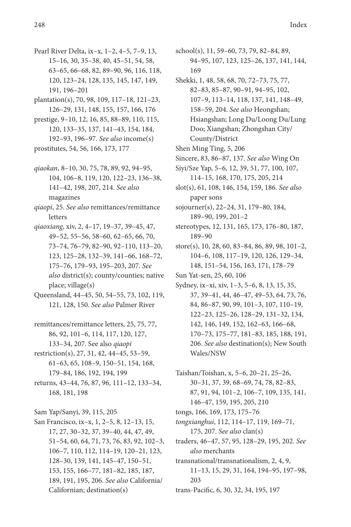- Pearl River Delta, ix–x, 1–2, 4–5, 7–9, 13, 15–16, 30, 35–38, 40, 45–51, 54, 58, 63–65, 66–68, 82, 89–90, 96, 116, 118, 120, 123–24, 128, 135, 145, 147, 149, 191, 196–201
- plantation(s), 70, 98, 109, 117–18, 121–23, 126–29, 131, 148, 155, 157, 166, 176
- prestige, 9–10, 12, 16, 85, 88–89, 110, 115, 120, 133–35, 137, 141–43, 154, 184, 192–93, 196–97. *See also* income(s)
- prostitutes, 54, 56, 166, 173, 177
- *qiaokan*, 8–10, 30, 75, 78, 89, 92, 94–95, 104, 106–8, 119, 120, 122–23, 136–38, 141–42, 198, 207, 214. *See also* magazines
- *qiaopi*, 25. *See also* remittances/remittance letters
- *qiaoxiang*, xiv, 2, 4–17, 19–37, 39–45, 47, 49–52, 55–56, 58–60, 62–65, 66, 70, 73–74, 76–79, 82–90, 92–110, 113–20, 123, 125–28, 132–39, 141–66, 168–72, 175–76, 179–93, 195–203, 207. *See also* district(s); county/counties; native place; village(s)
- Queensland, 44–45, 50, 54–55, 73, 102, 119, 121, 128, 150. *See also* Palmer River
- remittances/remittance letters, 25, 75, 77, 86, 92, 101–6, 114, 117, 120, 127, 133–34, 207. See also *qiaopi*
- restriction(s), 27, 31, 42, 44–45, 53–59, 61–63, 65, 108–9, 150–51, 154, 168, 179–84, 186, 192, 194, 199
- returns, 43–44, 76, 87, 96, 111–12, 133–34, 168, 181, 198
- Sam Yap/Sanyi, 39, 115, 205
- San Francisco, ix–x, 1, 2–5, 8, 12–13, 15, 17, 27, 30–32, 37, 39–40, 44, 47, 49, 51–54, 60, 64, 71, 73, 76, 83, 92, 102–3, 106–7, 110, 112, 114–19, 120–21, 123, 128–30, 139, 141, 145–47, 150–51, 153, 155, 166–77, 181–82, 185, 187, 189, 191, 195, 206. *See also* California/ Californian; destination(s)
- school(s), 11, 59–60, 73, 79, 82–84, 89, 94–95, 107, 123, 125–26, 137, 141, 144, 169
- Shekki, 1, 48, 58, 68, 70, 72–73, 75, 77, 82–83, 85–87, 90–91, 94–95, 102, 107–9, 113–14, 118, 137, 141, 148–49, 158–59, 204. *See also* Heongshan; Hsiangshan; Long Du/Loong Du/Lung Doo; Xiangshan; Zhongshan City/ County/District
- Shen Ming Ting, 5, 206
- Sincere, 83, 86–87, 137. *See also* Wing On
- Siyi/Sze Yap, 5–6, 12, 39, 51, 77, 100, 107, 114–15, 168, 170, 175, 205, 214
- slot(s), 61, 108, 146, 154, 159, 186. *See also* paper sons
- sojourner(s), 22–24, 31, 179–80, 184, 189–90, 199, 201–2
- stereotypes, 12, 131, 165, 173, 176–80, 187, 189–90
- store(s), 10, 28, 60, 83–84, 86, 89, 98, 101–2, 104–6, 108, 117–19, 120, 126, 129–34, 148, 151–54, 156, 163, 171, 178–79
- Sun Yat-sen, 25, 60, 106
- Sydney, ix–xi, xiv, 1–3, 5–6, 8, 13, 15, 35, 37, 39–41, 44, 46–47, 49–53, 64, 73, 76, 84, 86–87, 90, 99, 101–3, 107, 110–19, 122–23, 125–26, 128–29, 131–32, 134, 142, 146, 149, 152, 162–63, 166–68, 170–73, 175–77, 181–83, 185, 188, 191, 206. *See also* destination(s); New South Wales/NSW
- Taishan/Toishan, x, 5–6, 20–21, 25–26, 30–31, 37, 39, 68–69, 74, 78, 82–83, 87, 91, 94, 101–2, 106–7, 109, 135, 141, 146–47, 159, 195, 205, 210
- tongs, 166, 169, 173, 175–76
- *tongxianghui*, 112, 114–17, 119, 169–71, 175, 207. *See also* clan(s)
- traders, 46–47, 57, 95, 128–29, 195, 202. *See also* merchants
- transnational/transnationalism, 2, 4, 9, 11–13, 15, 29, 31, 164, 194–95, 197–98, 203
- trans-Pacific, 6, 30, 32, 34, 195, 197